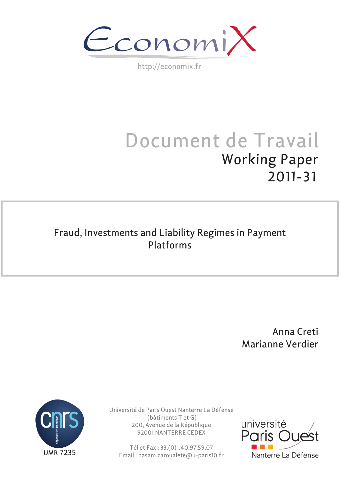$\epsilon$ conomi)

http://economix.fr

# Document de Travail Working Paper 2011-31

## Fraud, Investments and Liability Regimes in Payment Platforms

 Anna Creti Marianne Verdier



Université de Paris Ouest Nanterre La Défense (bâtiments T et G) 200, Avenue de la République 92001 NANTERRE CEDEX

Tél et Fax : 33.(0)1.40.97.59.07 Email : nasam.zaroualete@u-paris10.fr

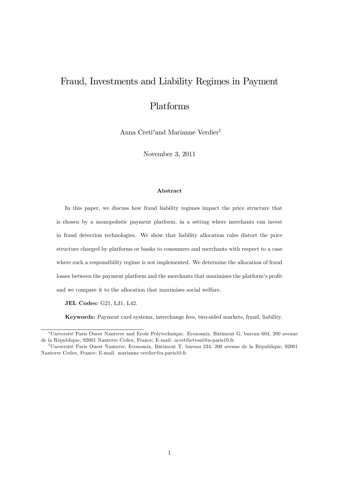## Fraud, Investments and Liability Regimes in Payment

## Platforms

Anna Creti\*and Marianne Verdier<sup>†</sup>

November 3, 2011

#### Abstract

In this paper, we discuss how fraud liability regimes impact the price structure that is chosen by a monopolistic payment platform, in a setting where merchants can invest in fraud detection technologies. We show that liability allocation rules distort the price structure charged by platforms or banks to consumers and merchants with respect to a case where such a responsibility regime is not implemented. We determine the allocation of fraud losses between the payment platform and the merchants that maximises the platform's profit and we compare it to the allocation that maximises social welfare.

JEL Codes: G21, L31, L42.

Keywords: Payment card systems, interchange fees, two-sided markets, fraud, liability.

<sup>\*</sup>Université Paris Ouest Nanterre and Ecole Polytechnique. Economix, Bâtiment G, bureau 604, 200 avenue de la RÈpublique, 92001 Nanterre Cedex, France; E-mail: acretibettoni@u-paris10.fr.

<sup>&</sup>lt;sup>†</sup>Université Paris Ouest Nanterre, Economix, Bâtiment T, bureau 234, 200 avenue de la République, 92001 Nanterre Cedex, France; E-mail: marianne.verdier@u-paris10.fr.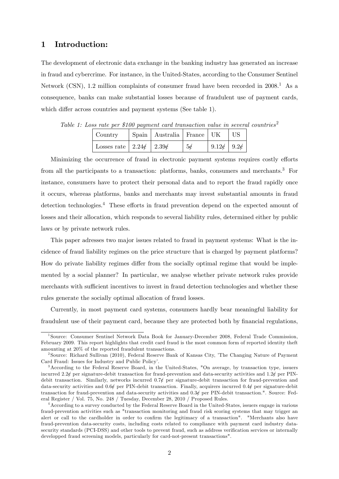## 1 Introduction:

The development of electronic data exchange in the banking industry has generated an increase in fraud and cybercrime. For instance, in the United-States, according to the Consumer Sentinel Network (CSN), 1.2 million complaints of consumer fraud have been recorded in  $2008<sup>1</sup>$ . As a consequence, banks can make substantial losses because of fraudulent use of payment cards, which differ across countries and payment systems (See table 1).

| Country                               | Spain   Australia   France   UK |    |                        | $\overline{\phantom{a}}$ US |
|---------------------------------------|---------------------------------|----|------------------------|-----------------------------|
| Losses rate   $2.24\ell$   $2.39\ell$ |                                 | 5d | $9.12\ell$   $9.2\ell$ |                             |

Table 1: Loss rate per \$100 payment card transaction value in several countries<sup>2</sup>

Minimizing the occurrence of fraud in electronic payment systems requires costly efforts from all the participants to a transaction: platforms, banks, consumers and merchants.<sup>3</sup> For instance, consumers have to protect their personal data and to report the fraud rapidly once it occurs, whereas platforms, banks and merchants may invest substantial amounts in fraud detection technologies. $4$  These efforts in fraud prevention depend on the expected amount of losses and their allocation, which responds to several liability rules, determined either by public laws or by private network rules.

This paper adresses two major issues related to fraud in payment systems: What is the incidence of fraud liability regimes on the price structure that is charged by payment platforms? How do private liability regimes differ from the socially optimal regime that would be implemented by a social planner? In particular, we analyse whether private network rules provide merchants with sufficient incentives to invest in fraud detection technologies and whether these rules generate the socially optimal allocation of fraud losses.

Currently, in most payment card systems, consumers hardly bear meaningful liability for fraudulent use of their payment card, because they are protected both by financial regulations,

<sup>1</sup> Source: Consumer Sentinel Network Data Book for January-December 2008, Federal Trade Commission, February 2009. This report highlights that credit card fraud is the most common form of reported identity theft amounting at 20% of the reported fraudulent transactions.

<sup>&</sup>lt;sup>2</sup> Source: Richard Sullivan (2010), Federal Reserve Bank of Kansas City, 'The Changing Nature of Payment Card Fraud: Issues for Industry and Public Policy'.

<sup>3</sup>According to the Federal Reserve Board, in the United-States, "On average, by transaction type, issuers incurred 2.2¢ per signature-debit transaction for fraud-prevention and data-security activities and  $1.2\ell$  per PINdebit transaction. Similarly, networks incurred  $0.7\rlap{/}$  per signature-debit transaction for fraud-prevention and data-security activities and  $0.6\ell$  per PIN-debit transaction. Finally, acquirers incurred  $0.4\ell$  per signature-debit transaction for fraud-prevention and data-security activities and  $0.3\ell$  per PIN-debit transaction.". Source: Federal Register / Vol. 75, No. 248 / Tuesday, December 28, 2010 / Proposed Rules.

<sup>4</sup>According to a survey conducted by the Federal Reserve Board in the United-States, issuers engage in various fraud-prevention activities such as "transaction monitoring and fraud risk scoring systems that may trigger an alert or call to the cardholder in order to confirm the legitimacy of a transaction". "Merchants also have fraud-prevention data-security costs, including costs related to compliance with payment card industry datasecurity standards (PCI-DSS) and other tools to prevent fraud, such as address verification services or internally developped fraud screening models, particularly for card-not-present transactions".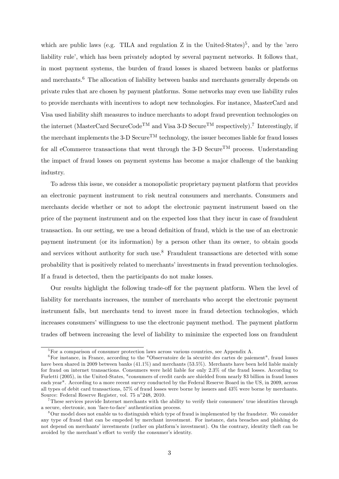which are public laws (e.g. TILA and regulation  $Z$  in the United-States)<sup>5</sup>, and by the 'zero liability rule<sup>'</sup>, which has been privately adopted by several payment networks. It follows that, in most payment systems, the burden of fraud losses is shared between banks or platforms and merchants.<sup>6</sup> The allocation of liability between banks and merchants generally depends on private rules that are chosen by payment platforms. Some networks may even use liability rules to provide merchants with incentives to adopt new technologies. For instance, MasterCard and Visa used liability shift measures to induce merchants to adopt fraud prevention technologies on the internet (MasterCard SecureCode<sup>TM</sup> and Visa 3-D Secure<sup>TM</sup> respectively).<sup>7</sup> Interestingly, if the merchant implements the 3-D Secure<sup>TM</sup> technology, the issuer becomes liable for fraud losses for all eCommerce transactions that went through the 3-D Secure<sup>TM</sup> process. Understanding the impact of fraud losses on payment systems has become a major challenge of the banking industry.

To adress this issue, we consider a monopolistic proprietary payment platform that provides an electronic payment instrument to risk neutral consumers and merchants. Consumers and merchants decide whether or not to adopt the electronic payment instrument based on the price of the payment instrument and on the expected loss that they incur in case of fraudulent transaction. In our setting, we use a broad definition of fraud, which is the use of an electronic payment instrument (or its information) by a person other than its owner, to obtain goods and services without authority for such use.<sup>8</sup> Fraudulent transactions are detected with some probability that is positively related to merchants' investments in fraud prevention technologies. If a fraud is detected, then the participants do not make losses.

Our results highlight the following trade-off for the payment platform. When the level of liability for merchants increases, the number of merchants who accept the electronic payment instrument falls, but merchants tend to invest more in fraud detection technologies, which increases consumers' willingness to use the electronic payment method. The payment platform trades off between increasing the level of liability to minimize the expected loss on fraudulent

<sup>&</sup>lt;sup>5</sup>For a comparison of consumer protection laws across various countries, see Appendix A.

 ${}^{6}$ For instance, in France, according to the "Observatoire de la sécurité des cartes de paiement", fraud losses have been shared in 2009 between banks (41.1%) and merchants (53.5%). Merchants have been held liable mainly for fraud on internet transactions. Consumers were held liable for only 2.3% of the fraud losses. According to Furletti (2005), in the United-States, "consumers of credit cards are shielded from nearly \$3 billion in fraud losses each year". According to a more recent survey conducted by the Federal Reserve Board in the US, in 2009, across all types of debit card transactions, 57% of fraud losses were borne by issuers and 43% were borne by merchants. Source: Federal Reserve Register, vol. 75 n 248, 2010.

 $7$ These services provide Internet merchants with the ability to verify their consumers' true identities through a secure, electronic, non 'face-to-face' authentication process.

<sup>&</sup>lt;sup>8</sup>Our model does not enable us to distinguish which type of fraud is implemented by the fraudster. We consider any type of fraud that can be empeded by merchant investment. For instance, data breaches and phishing do not depend on merchants' investments (rather on platform's investment). On the contrary, identity theft can be avoided by the merchant's effort to verify the consumer's identity.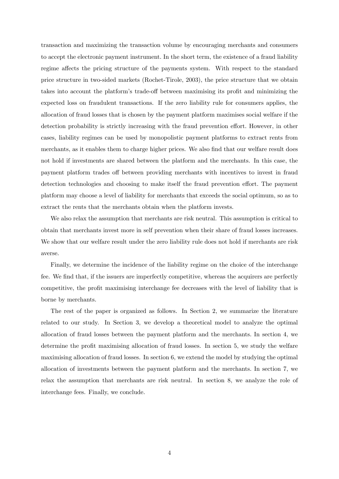transaction and maximizing the transaction volume by encouraging merchants and consumers to accept the electronic payment instrument. In the short term, the existence of a fraud liability regime affects the pricing structure of the payments system. With respect to the standard price structure in two-sided markets (Rochet-Tirole, 2003), the price structure that we obtain takes into account the platform's trade-off between maximising its profit and minimizing the expected loss on fraudulent transactions. If the zero liability rule for consumers applies, the allocation of fraud losses that is chosen by the payment platform maximises social welfare if the detection probability is strictly increasing with the fraud prevention effort. However, in other cases, liability regimes can be used by monopolistic payment platforms to extract rents from merchants, as it enables them to charge higher prices. We also find that our welfare result does not hold if investments are shared between the platform and the merchants. In this case, the payment platform trades off between providing merchants with incentives to invest in fraud detection technologies and choosing to make itself the fraud prevention effort. The payment platform may choose a level of liability for merchants that exceeds the social optimum, so as to extract the rents that the merchants obtain when the platform invests.

We also relax the assumption that merchants are risk neutral. This assumption is critical to obtain that merchants invest more in self prevention when their share of fraud losses increases. We show that our welfare result under the zero liability rule does not hold if merchants are risk averse.

Finally, we determine the incidence of the liability regime on the choice of the interchange fee. We find that, if the issuers are imperfectly competitive, whereas the acquirers are perfectly competitive, the profit maximising interchange fee decreases with the level of liability that is borne by merchants.

The rest of the paper is organized as follows. In Section 2, we summarize the literature related to our study. In Section 3, we develop a theoretical model to analyze the optimal allocation of fraud losses between the payment platform and the merchants. In section 4, we determine the profit maximising allocation of fraud losses. In section 5, we study the welfare maximising allocation of fraud losses. In section 6, we extend the model by studying the optimal allocation of investments between the payment platform and the merchants. In section 7, we relax the assumption that merchants are risk neutral. In section 8, we analyze the role of interchange fees. Finally, we conclude.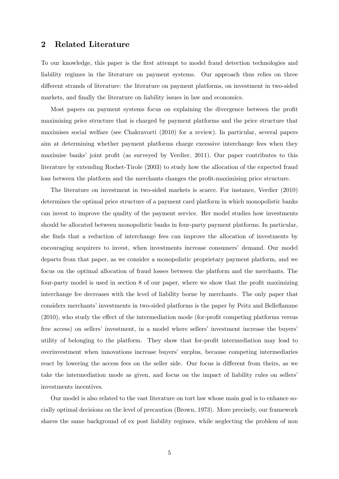## 2 Related Literature

To our knowledge, this paper is the first attempt to model fraud detection technologies and liability regimes in the literature on payment systems. Our approach thus relies on three different strands of literature: the literature on payment platforms, on investment in two-sided markets, and finally the literature on liability issues in law and economics.

Most papers on payment systems focus on explaining the divergence between the profit maximising price structure that is charged by payment platforms and the price structure that maximises social welfare (see Chakravorti (2010) for a review). In particular, several papers aim at determining whether payment platforms charge excessive interchange fees when they maximise banks' joint profit (as surveyed by Verdier, 2011). Our paper contributes to this literature by extending Rochet-Tirole (2003) to study how the allocation of the expected fraud loss between the platform and the merchants changes the profit-maximising price structure.

The literature on investment in two-sided markets is scarce. For instance, Verdier (2010) determines the optimal price structure of a payment card platform in which monopolistic banks can invest to improve the quality of the payment service. Her model studies how investments should be allocated between monopolistic banks in four-party payment platforms. In particular, she finds that a reduction of interchange fees can improve the allocation of investments by encouraging acquirers to invest, when investments increase consumers' demand. Our model departs from that paper, as we consider a monopolistic proprietary payment platform, and we focus on the optimal allocation of fraud losses between the platform and the merchants. The four-party model is used in section 8 of our paper, where we show that the profit maximizing interchange fee decreases with the level of liability borne by merchants. The only paper that considers merchants' investments in two-sided platforms is the paper by Peitz and Belleflamme  $(2010)$ , who study the effect of the intermediation mode (for-profit competing platforms versus free access) on sellers' investment, in a model where sellers' investment increase the buyers' utility of belonging to the platform. They show that for-profit intermediation may lead to overinvestment when innovations increase buyersí surplus, because competing intermediaries react by lowering the access fees on the seller side. Our focus is different from theirs, as we take the intermediation mode as given, and focus on the impact of liability rules on sellers' investments incentives.

Our model is also related to the vast literature on tort law whose main goal is to enhance socially optimal decisions on the level of precaution (Brown, 1973). More precisely, our framework shares the same background of ex post liability regimes, while neglecting the problem of non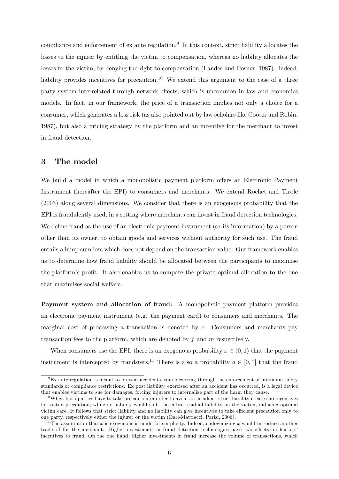compliance and enforcement of ex ante regulation.<sup>9</sup> In this context, strict liability allocates the losses to the injurer by entitling the victim to compensation, whereas no liability allocates the losses to the victim, by denying the right to compensation (Landes and Posner, 1987). Indeed, liability provides incentives for precaution.<sup>10</sup> We extend this argument to the case of a three party system interrelated through network effects, which is uncommon in law and economics models. In fact, in our framework, the price of a transaction implies not only a choice for a consumer, which generates a loss risk (as also pointed out by law scholars like Cooter and Robin, 1987), but also a pricing strategy by the platform and an incentive for the merchant to invest in fraud detection.

## 3 The model

We build a model in which a monopolistic payment platform offers an Electronic Payment Instrument (hereafter the EPI) to consumers and merchants. We extend Rochet and Tirole (2003) along several dimensions. We consider that there is an exogenous probability that the EPI is fraudulently used, in a setting where merchants can invest in fraud detection technologies. We define fraud as the use of an electronic payment instrument (or its information) by a person other than its owner, to obtain goods and services without authority for such use. The fraud entails a lump sum loss which does not depend on the transaction value. Our framework enables us to determine how fraud liability should be allocated between the participants to maximise the platform's profit. It also enables us to compare the private optimal allocation to the one that maximises social welfare.

Payment system and allocation of fraud: A monopolistic payment platform provides an electronic payment instrument (e.g. the payment card) to consumers and merchants. The marginal cost of processing a transaction is denoted by  $c$ . Consumers and merchants pay transaction fees to the platform, which are denoted by  $f$  and  $m$  respectively.

When consumers use the EPI, there is an exogenous probability  $x \in (0, 1)$  that the payment instrument is intercepted by fraudsters.<sup>11</sup> There is also a probability  $q \in [0, 1]$  that the fraud

 ${}^{9}$ Ex ante regulation is meant to prevent accidents from occurring through the enforcement of minimum safety standards or compliance restrictions. Ex post liability, exercised after an accident has occurred, is a legal device that enables victims to sue for damages, forcing injurers to internalize part of the harm they cause.

 $10$ When both parties have to take precaution in order to avoid an accident, strict liability creates no incentives for victim precaution, while no liability would shift the entire residual liability on the victim, inducing optimal victim care. It follows that strict liability and no liability can give incentives to take efficient precaution only to one party, respectively either the injurer or the victim (Dari-Mattiacci, Parisi, 2006).

<sup>&</sup>lt;sup>11</sup>The assumption that x is exogenous is made for simplicity. Indeed, endogenizing x would introduce another trade-off for the merchant. Higher investments in fraud detection technologies have two effects on hackers' incentives to fraud. On the one hand, higher investments in fraud increase the volume of transactions, which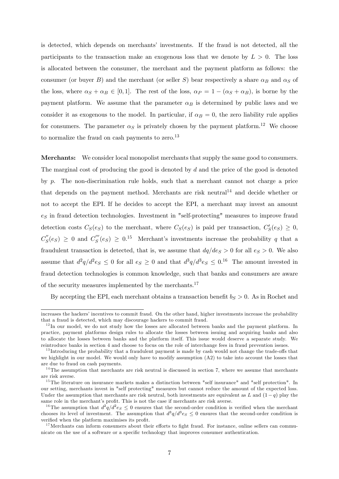is detected, which depends on merchants' investments. If the fraud is not detected, all the participants to the transaction make an exogenous loss that we denote by  $L > 0$ . The loss is allocated between the consumer, the merchant and the payment platform as follows: the consumer (or buyer B) and the merchant (or seller S) bear respectively a share  $\alpha_B$  and  $\alpha_S$  of the loss, where  $\alpha_S + \alpha_B \in [0, 1]$ . The rest of the loss,  $\alpha_P = 1 - (\alpha_S + \alpha_B)$ , is borne by the payment platform. We assume that the parameter  $\alpha_B$  is determined by public laws and we consider it as exogenous to the model. In particular, if  $\alpha_B = 0$ , the zero liability rule applies for consumers. The parameter  $\alpha_S$  is privately chosen by the payment platform.<sup>12</sup> We choose to normalize the fraud on cash payments to zero. $^{13}$ 

Merchants: We consider local monopolist merchants that supply the same good to consumers. The marginal cost of producing the good is denoted by d and the price of the good is denoted by p. The non-discrimination rule holds, such that a merchant cannot not charge a price that depends on the payment method. Merchants are risk neutral<sup>14</sup> and decide whether or not to accept the EPI. If he decides to accept the EPI, a merchant may invest an amount  $e_S$  in fraud detection technologies. Investment in "self-protecting" measures to improve fraud detection costs  $C_S(e_S)$  to the merchant, where  $C_S(e_S)$  is paid per transaction,  $C'_S(e_S) \geq 0$ ,  $C''_S(e_S) \geq 0$  and  $C'''_S(e_S) \geq 0.15$  Merchant's investments increase the probability q that a fraudulent transaction is detected, that is, we assume that  $dq/de_S > 0$  for all  $e_S > 0$ . We also assume that  $d^2q/d^2e_S \leq 0$  for all  $e_S \geq 0$  and that  $d^3q/d^3e_S \leq 0.16$  The amount invested in fraud detection technologies is common knowledge, such that banks and consumers are aware of the security measures implemented by the merchants.<sup>17</sup>

By accepting the EPI, each merchant obtains a transaction benefit  $b<sub>S</sub> > 0$ . As in Rochet and

increases the hackers' incentives to commit fraud. On the other hand, higher investments increase the probability that a fraud is detected, which may discourage hackers to commit fraud.

 $12$ In our model, we do not study how the losses are allocated between banks and the payment platform. In practice, payment platforms design rules to allocate the losses between issuing and acquiring banks and also to allocate the losses between banks and the platform itself. This issue would deserve a separate study. We reintroduce banks in section 4 and choose to focus on the role of interchange fees in fraud prevention issues.

 $13$  Introducing the probability that a fraudulent payment is made by cash would not change the trade-offs that we highlight in our model. We would only have to modify assumption (A2) to take into account the losses that are due to fraud on cash payments.

 $14$ The assumption that merchants are risk neutral is discussed in section 7, where we assume that merchants are risk averse.

<sup>&</sup>lt;sup>15</sup>The literature on insurance markets makes a distinction between "self insurance" and "self protection". In our setting, merchants invest in "self protecting" measures but cannot reduce the amount of the expected loss. Under the assumption that merchants are risk neutral, both investments are equivalent as L and  $(1 - q)$  play the same role in the merchant's profit. This is not the case if merchants are risk averse.

<sup>&</sup>lt;sup>16</sup>The assumption that  $d^2q/d^2e_S \leq 0$  ensures that the second-order condition is verified when the merchant chooses its level of investment. The assumption that  $d^3q/d^3e_S \leq 0$  ensures that the second-order condition is verified when the platform maximises its profit.

 $17$  Merchants can inform consumers about their efforts to fight fraud. For instance, online sellers can communicate on the use of a software or a specific technology that improves consumer authentication.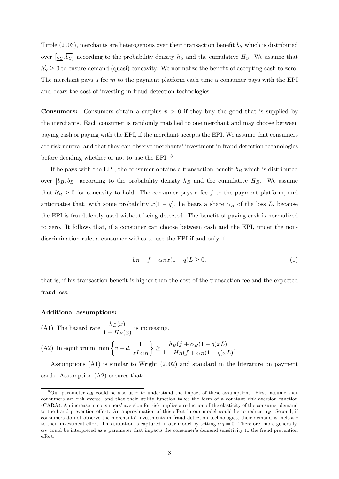Tirole (2003), merchants are heterogenous over their transaction benefit  $b<sub>S</sub>$  which is distributed over  $\left[\underline{b_S}, \overline{b_S}\right]$  according to the probability density  $h_S$  and the cumulative  $H_S$ . We assume that  $h'_{S} \geq 0$  to ensure demand (quasi) concavity. We normalize the benefit of accepting cash to zero. The merchant pays a fee  $m$  to the payment platform each time a consumer pays with the EPI and bears the cost of investing in fraud detection technologies.

**Consumers:** Consumers obtain a surplus  $v > 0$  if they buy the good that is supplied by the merchants. Each consumer is randomly matched to one merchant and may choose between paying cash or paying with the EPI, if the merchant accepts the EPI. We assume that consumers are risk neutral and that they can observe merchants' investment in fraud detection technologies before deciding whether or not to use the EPI.<sup>18</sup>

If he pays with the EPI, the consumer obtains a transaction benefit  $b_B$  which is distributed over  $\left[b_B, \overline{b_B}\right]$  according to the probability density  $h_B$  and the cumulative  $H_B$ . We assume that  $h'_B ">= 0$  for concavity to hold. The consumer pays a fee f to the payment platform, and anticipates that, with some probability  $x(1 - q)$ , he bears a share  $\alpha_B$  of the loss L, because the EPI is fraudulently used without being detected. The benefit of paying cash is normalized to zero. It follows that, if a consumer can choose between cash and the EPI, under the nondiscrimination rule, a consumer wishes to use the EPI if and only if

$$
b_B - f - \alpha_B x (1 - q) L \ge 0,\tag{1}
$$

that is, if his transaction benefit is higher than the cost of the transaction fee and the expected fraud loss.

#### Additional assumptions:

(A1) The hazard rate  $\frac{h_B(x)}{1-H(x)}$  $\frac{R_B(x)}{1 - H_B(x)}$  is increasing.

(A2) In equilibrium, min 
$$
\left\{v - d, \frac{1}{xL\alpha_B}\right\} \ge \frac{h_B(f + \alpha_B(1-q)xL)}{1 - H_B(f + \alpha_B(1-q)xL)}
$$
.

Assumptions (A1) is similar to Wright (2002) and standard in the literature on payment cards. Assumption (A2) ensures that:

<sup>&</sup>lt;sup>18</sup>Our parameter  $\alpha_B$  could be also used to understand the impact of these assumptions. First, assume that consumers are risk averse, and that their utility function takes the form of a constant risk aversion function (CARA). An increase in consumersíaversion for risk implies a reduction of the elasticity of the consumer demand to the fraud prevention effort. An approximation of this effect in our model would be to reduce  $\alpha_B$ . Second, if consumers do not observe the merchants' investments in fraud detection technologies, their demand is inelastic to their investment effort. This situation is captured in our model by setting  $\alpha_B = 0$ . Therefore, more generally,  $\alpha_B$  could be interpreted as a parameter that impacts the consumer's demand sensitivity to the fraud prevention effort.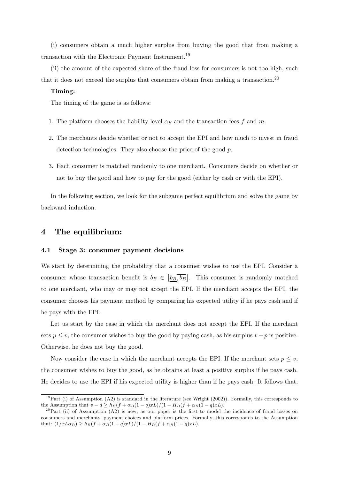(i) consumers obtain a much higher surplus from buying the good that from making a transaction with the Electronic Payment Instrument.<sup>19</sup>

(ii) the amount of the expected share of the fraud loss for consumers is not too high, such that it does not exceed the surplus that consumers obtain from making a transaction.<sup>20</sup>

#### Timing:

The timing of the game is as follows:

- 1. The platform chooses the liability level  $\alpha_S$  and the transaction fees f and m.
- 2. The merchants decide whether or not to accept the EPI and how much to invest in fraud detection technologies. They also choose the price of the good p.
- 3. Each consumer is matched randomly to one merchant. Consumers decide on whether or not to buy the good and how to pay for the good (either by cash or with the EPI).

In the following section, we look for the subgame perfect equilibrium and solve the game by backward induction.

## 4 The equilibrium:

#### 4.1 Stage 3: consumer payment decisions

We start by determining the probability that a consumer wishes to use the EPI. Consider a consumer whose transaction benefit is  $b_B \in \left[b_B, \overline{b_B}\right]$ . This consumer is randomly matched to one merchant, who may or may not accept the EPI. If the merchant accepts the EPI, the consumer chooses his payment method by comparing his expected utility if he pays cash and if he pays with the EPI.

Let us start by the case in which the merchant does not accept the EPI. If the merchant sets  $p \le v$ , the consumer wishes to buy the good by paying cash, as his surplus  $v - p$  is positive. Otherwise, he does not buy the good.

Now consider the case in which the merchant accepts the EPI. If the merchant sets  $p \leq v$ , the consumer wishes to buy the good, as he obtains at least a positive surplus if he pays cash. He decides to use the EPI if his expected utility is higher than if he pays cash. It follows that,

<sup>&</sup>lt;sup>19</sup>Part (i) of Assumption (A2) is standard in the literature (see Wright (2002)). Formally, this corresponds to the Assumption that  $v - d \ge h_B(f + \alpha_B(1 - q)xL)/(1 - H_B(f + \alpha_B(1 - q)xL).$ 

<sup>&</sup>lt;sup>20</sup>Part (ii) of Assumption (A2) is new, as our paper is the first to model the incidence of fraud losses on consumers and merchants' payment choices and platform prices. Formally, this corresponds to the Assumption that:  $(1/xL\alpha_B) \ge h_B(f + \alpha_B(1 - q)xL)/(1 - H_B(f + \alpha_B(1 - q)xL).$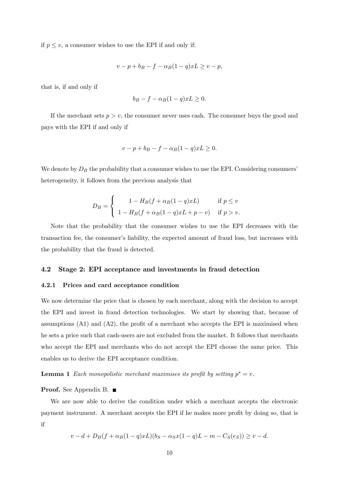if  $p \leq v$ , a consumer wishes to use the EPI if and only if:

$$
v - p + b_B - f - \alpha_B (1 - q)xL \ge v - p,
$$

that is, if and only if

$$
b_B - f - \alpha_B (1 - q) x L \ge 0.
$$

If the merchant sets  $p > v$ , the consumer never uses cash. The consumer buys the good and pays with the EPI if and only if

$$
v - p + b_B - f - \alpha_B (1 - q)xL \ge 0.
$$

We denote by  $D_B$  the probability that a consumer wishes to use the EPI. Considering consumers' heterogeneity, it follows from the previous analysis that

$$
D_B = \begin{cases} 1 - H_B(f + \alpha_B(1 - q)xL) & \text{if } p \le v \\ 1 - H_B(f + \alpha_B(1 - q)xL + p - v) & \text{if } p > v. \end{cases}
$$

Note that the probability that the consumer wishes to use the EPI decreases with the transaction fee, the consumer's liability, the expected amount of fraud loss, but increases with the probability that the fraud is detected.

#### 4.2 Stage 2: EPI acceptance and investments in fraud detection

#### 4.2.1 Prices and card acceptance condition

We now determine the price that is chosen by each merchant, along with the decision to accept the EPI and invest in fraud detection technologies. We start by showing that, because of assumptions  $(A1)$  and  $(A2)$ , the profit of a merchant who accepts the EPI is maximised when he sets a price such that cash-users are not excluded from the market. It follows that merchants who accept the EPI and merchants who do not accept the EPI choose the same price. This enables us to derive the EPI acceptance condition.

**Lemma 1** Each monopolistic merchant maximises its profit by setting  $p^* = v$ .

#### Proof. See Appendix B. ■

We are now able to derive the condition under which a merchant accepts the electronic payment instrument. A merchant accepts the EPI if he makes more profit by doing so, that is if

$$
v - d + D_B(f + \alpha_B(1 - q)xL)(b_S - \alpha_S x(1 - q)L - m - C_S(e_S)) \ge v - d.
$$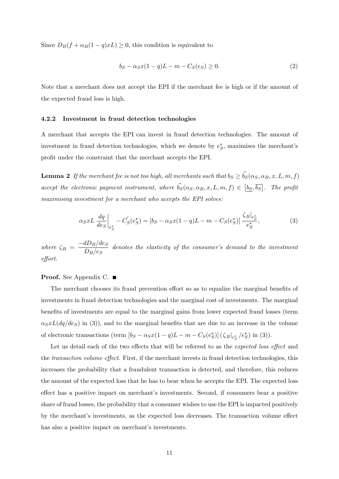Since  $D_B(f + \alpha_B(1 - q)xL) \geq 0$ , this condition is equivalent to

$$
b_S - \alpha_S x (1 - q)L - m - C_S(e_S) \ge 0.
$$
 (2)

Note that a merchant does not accept the EPI if the merchant fee is high or if the amount of the expected fraud loss is high.

#### 4.2.2 Investment in fraud detection technologies

A merchant that accepts the EPI can invest in fraud detection technologies. The amount of investment in fraud detection technologies, which we denote by  $e^*_{\mathcal{S}}$ , maximises the merchant's profit under the constraint that the merchant accepts the EPI.

**Lemma 2** If the merchant fee is not too high, all merchants such that  $b_S \ge b_S(\alpha_S, \alpha_B, x, L, m, f)$ accept the electronic payment instrument, where  $\hat{b_S}(\alpha_S, \alpha_B, x, L, m, f) \in [\underline{b_S}, \overline{b_S}]$ . The profit maximising investment for a merchant who accepts the EPI solves:

$$
\alpha_S x L \frac{dq}{de_S}\Big|_{e_S^*} - C'_S(e_S^*) = [b_S - \alpha_S x (1 - q) L - m - C_S(e_S^*)] \frac{\zeta_B|_{e_S^*}}{e_S^*},\tag{3}
$$

where  $\zeta_B = \frac{-dD_B/de_S}{D_B/de_S}$  $\frac{dD}{dD_B/e_S}$  denotes the elasticity of the consumer's demand to the investment effort.

#### **Proof.** See Appendix C. ■

The merchant chooses its fraud prevention effort so as to equalize the marginal benefits of investments in fraud detection technologies and the marginal cost of investments. The marginal benefits of investments are equal to the marginal gains from lower expected fraud losses (term  $\alpha_S xL(dq/deg)$  in (3)), and to the marginal benefits that are due to an increase in the volume of electronic transactions (term  $[b_S - \alpha_S x(1 - q)L - m - C_S(e_S^*)] (\zeta_B|_{e_S^*}/e_S^*)$  in (3)).

Let us detail each of the two effects that will be referred to as the expected loss effect and the *transaction volume effect*. First, if the merchant invests in fraud detection technologies, this increases the probability that a fraudulent transaction is detected, and therefore, this reduces the amount of the expected loss that he has to bear when he accepts the EPI. The expected loss effect has a positive impact on merchant's investments. Second, if consumers bear a positive share of fraud losses, the probability that a consumer wishes to use the EPI is impacted positively by the merchant's investments, as the expected loss decreases. The transaction volume effect has also a positive impact on merchant's investments.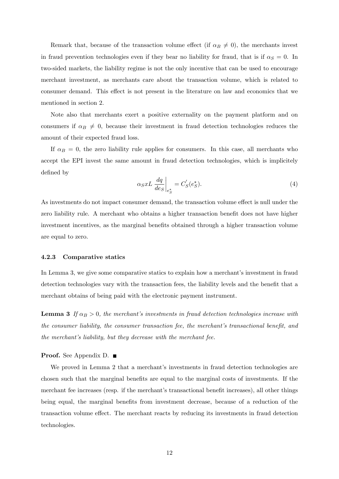Remark that, because of the transaction volume effect (if  $\alpha_B \neq 0$ ), the merchants invest in fraud prevention technologies even if they bear no liability for fraud, that is if  $\alpha_S = 0$ . In two-sided markets, the liability regime is not the only incentive that can be used to encourage merchant investment, as merchants care about the transaction volume, which is related to consumer demand. This effect is not present in the literature on law and economics that we mentioned in section 2.

Note also that merchants exert a positive externality on the payment platform and on consumers if  $\alpha_B \neq 0$ , because their investment in fraud detection technologies reduces the amount of their expected fraud loss.

If  $\alpha_B = 0$ , the zero liability rule applies for consumers. In this case, all merchants who accept the EPI invest the same amount in fraud detection technologies, which is implicitely defined by

$$
\alpha_S x L \left. \frac{dq}{de_S} \right|_{e^*_S} = C'_S(e^*_S). \tag{4}
$$

As investments do not impact consumer demand, the transaction volume effect is null under the zero liability rule. A merchant who obtains a higher transaction benefit does not have higher investment incentives, as the marginal benefits obtained through a higher transaction volume are equal to zero.

#### 4.2.3 Comparative statics

In Lemma 3, we give some comparative statics to explain how a merchant's investment in fraud detection technologies vary with the transaction fees, the liability levels and the benefit that a merchant obtains of being paid with the electronic payment instrument.

**Lemma 3** If  $\alpha_B > 0$ , the merchant's investments in fraud detection technologies increase with the consumer liability, the consumer transaction fee, the merchant's transactional benefit, and the merchant's liability, but they decrease with the merchant fee.

#### **Proof.** See Appendix D. ■

We proved in Lemma 2 that a merchant's investments in fraud detection technologies are chosen such that the marginal benefits are equal to the marginal costs of investments. If the merchant fee increases (resp. if the merchant's transactional benefit increases), all other things being equal, the marginal benefits from investment decrease, because of a reduction of the transaction volume effect. The merchant reacts by reducing its investments in fraud detection technologies.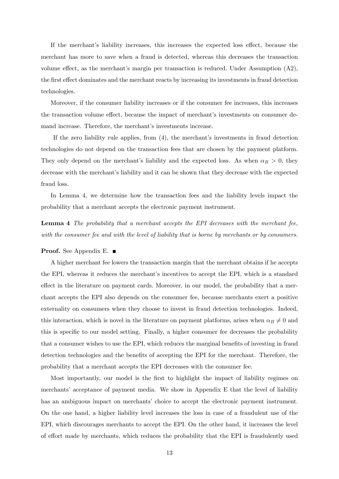If the merchant's liability increases, this increases the expected loss effect, because the merchant has more to save when a fraud is detected, whereas this decreases the transaction volume effect, as the merchant's margin per transaction is reduced. Under Assumption  $(A2)$ , the first effect dominates and the merchant reacts by increasing its investments in fraud detection technologies.

Moreover, if the consumer liability increases or if the consumer fee increases, this increases the transaction volume effect, because the impact of merchant's investments on consumer demand increase. Therefore, the merchant's investments increase.

If the zero liability rule applies, from  $(4)$ , the merchant's investments in fraud detection technologies do not depend on the transaction fees that are chosen by the payment platform. They only depend on the merchant's liability and the expected loss. As when  $\alpha_B > 0$ , they decrease with the merchant's liability and it can be shown that they decrease with the expected fraud loss.

In Lemma 4, we determine how the transaction fees and the liability levels impact the probability that a merchant accepts the electronic payment instrument.

Lemma 4 The probability that a merchant accepts the EPI decreases with the merchant fee, with the consumer fee and with the level of liability that is borne by merchants or by consumers.

#### Proof. See Appendix E. ■

A higher merchant fee lowers the transaction margin that the merchant obtains if he accepts the EPI, whereas it reduces the merchant's incentives to accept the EPI, which is a standard effect in the literature on payment cards. Moreover, in our model, the probability that a merchant accepts the EPI also depends on the consumer fee, because merchants exert a positive externality on consumers when they choose to invest in fraud detection technologies. Indeed, this interaction, which is novel in the literature on payment platforms, arises when  $\alpha_B \neq 0$  and this is specific to our model setting. Finally, a higher consumer fee decreases the probability that a consumer wishes to use the EPI, which reduces the marginal benefits of investing in fraud detection technologies and the benefits of accepting the EPI for the merchant. Therefore, the probability that a merchant accepts the EPI decreases with the consumer fee.

Most importantly, our model is the first to highlight the impact of liability regimes on merchants' acceptance of payment media. We show in Appendix E that the level of liability has an ambiguous impact on merchants' choice to accept the electronic payment instrument. On the one hand, a higher liability level increases the loss in case of a fraudulent use of the EPI, which discourages merchants to accept the EPI. On the other hand, it increases the level of effort made by merchants, which reduces the probability that the EPI is fraudulently used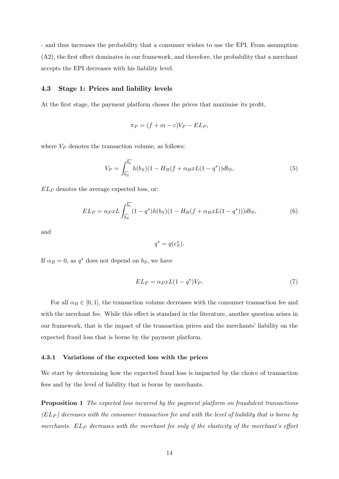- and thus increases the probability that a consumer wishes to use the EPI. From assumption  $(A2)$ , the first effect dominates in our framework, and therefore, the probability that a merchant accepts the EPI decreases with his liability level.

#### 4.3 Stage 1: Prices and liability levels

At the first stage, the payment platform choses the prices that maximise its profit,

$$
\pi_P = (f + m - c)V_P - EL_P,
$$

where  $V_P$  denotes the transaction volume, as follows:

$$
V_P = \int_{\widehat{b_S}}^{\overline{b_s}} h(b_S)(1 - H_B(f + \alpha_B x L(1 - q^*)) db_S,
$$
\n(5)

 $EL_P$  denotes the average expected loss, or:

$$
EL_P = \alpha_P x L \int_{\widehat{b_S}}^{\overline{b_s}} (1 - q^*) h(b_S) (1 - H_B(f + \alpha_B x L(1 - q^*))) db_S,
$$
\n
$$
(6)
$$

and

$$
q^* = q(e^*_S).
$$

If  $\alpha_B = 0$ , as  $q^*$  does not depend on  $b_S$ , we have

$$
EL_P = \alpha_P x L (1 - q^*) V_P. \tag{7}
$$

For all  $\alpha_B \in [0, 1]$ , the transaction volume decreases with the consumer transaction fee and with the merchant fee. While this effect is standard in the literature, another question arises in our framework, that is the impact of the transaction prices and the merchants' liability on the expected fraud loss that is borne by the payment platform.

#### 4.3.1 Variations of the expected loss with the prices

We start by determining how the expected fraud loss is impacted by the choice of transaction fees and by the level of liability that is borne by merchants.

Proposition 1 The expected loss incurred by the payment platform on fraudulent transactions  $(EL_P)$  decreases with the consumer transaction fee and with the level of liability that is borne by merchants. EL<sub>P</sub> decreases with the merchant fee only if the elasticity of the merchant's effort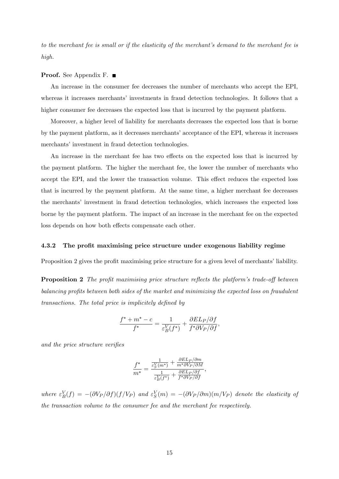to the merchant fee is small or if the elasticity of the merchant's demand to the merchant fee is high.

#### **Proof.** See Appendix F. ■

An increase in the consumer fee decreases the number of merchants who accept the EPI, whereas it increases merchants' investments in fraud detection technologies. It follows that a higher consumer fee decreases the expected loss that is incurred by the payment platform.

Moreover, a higher level of liability for merchants decreases the expected loss that is borne by the payment platform, as it decreases merchants' acceptance of the EPI, whereas it increases merchants' investment in fraud detection technologies.

An increase in the merchant fee has two effects on the expected loss that is incurred by the payment platform. The higher the merchant fee, the lower the number of merchants who accept the EPI, and the lower the transaction volume. This effect reduces the expected loss that is incurred by the payment platform. At the same time, a higher merchant fee decreases the merchantsí investment in fraud detection technologies, which increases the expected loss borne by the payment platform. The impact of an increase in the merchant fee on the expected loss depends on how both effects compensate each other.

#### 4.3.2 The profit maximising price structure under exogenous liability regime

Proposition 2 gives the profit maximising price structure for a given level of merchants' liability.

**Proposition 2** The profit maximising price structure reflects the platform's trade-off between  $b$ alancing profits between both sides of the market and minimizing the expected loss on fraudulent transactions. The total price is implicitely defined by

$$
\frac{f^* + m^* - c}{f^*} = \frac{1}{\varepsilon_B^V(f^*)} + \frac{\partial E L_P/\partial f}{f^* \partial V_P/\partial f},
$$

and the price structure verifies

$$
\frac{f^*}{m^*} = \frac{\frac{1}{\varepsilon_S'(m^*)} + \frac{\partial E L_P/\partial m}{m^* \partial V_P/\partial M}}{\frac{1}{\varepsilon_S'(f^*)} + \frac{\partial E L_P/\partial f}{f^* \partial V_P/\partial f}},
$$

where  $\varepsilon_B^V(f) = -(\partial V_P/\partial f)(f/V_P)$  and  $\varepsilon_S^V(m) = -(\partial V_P/\partial m)(m/V_P)$  denote the elasticity of the transaction volume to the consumer fee and the merchant fee respectively.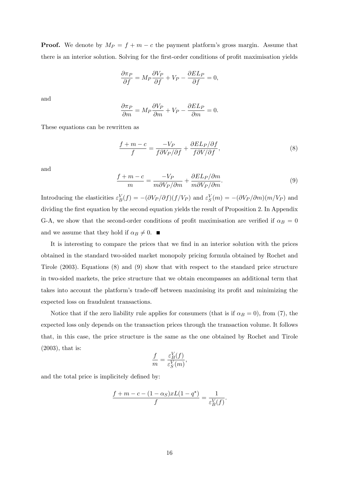**Proof.** We denote by  $M_P = f + m - c$  the payment platform's gross margin. Assume that there is an interior solution. Solving for the first-order conditions of profit maximisation yields

$$
\frac{\partial \pi_P}{\partial f} = M_P \frac{\partial V_P}{\partial f} + V_P - \frac{\partial E L_P}{\partial f} = 0,
$$

and

$$
\frac{\partial \pi_P}{\partial m} = M_P \frac{\partial V_P}{\partial m} + V_P - \frac{\partial EL_P}{\partial m} = 0.
$$

These equations can be rewritten as

$$
\frac{f + m - c}{f} = \frac{-V_P}{f \partial V_P / \partial f} + \frac{\partial E L_P / \partial f}{f \partial V / \partial f},\tag{8}
$$

and

$$
\frac{f+m-c}{m} = \frac{-V_P}{m\partial V_P/\partial m} + \frac{\partial EL_P/\partial m}{m\partial V_P/\partial m}.
$$
\n(9)

Introducing the elasticities  $\varepsilon_B^V(f) = -(\partial V_P/\partial f)(f/V_P)$  and  $\varepsilon_S^V(m) = -(\partial V_P/\partial m)(m/V_P)$  and dividing the first equation by the second equation yields the result of Proposition 2. In Appendix G-A, we show that the second-order conditions of profit maximisation are verified if  $\alpha_B = 0$ and we assume that they hold if  $\alpha_B \neq 0$ .

It is interesting to compare the prices that we find in an interior solution with the prices obtained in the standard two-sided market monopoly pricing formula obtained by Rochet and Tirole (2003). Equations (8) and (9) show that with respect to the standard price structure in two-sided markets, the price structure that we obtain encompasses an additional term that takes into account the platform's trade-off between maximising its profit and minimizing the expected loss on fraudulent transactions.

Notice that if the zero liability rule applies for consumers (that is if  $\alpha_B = 0$ ), from (7), the expected loss only depends on the transaction prices through the transaction volume. It follows that, in this case, the price structure is the same as the one obtained by Rochet and Tirole (2003), that is:

$$
\frac{f}{m} = \frac{\varepsilon_B^V(f)}{\varepsilon_S^V(m)},
$$

and the total price is implicitely defined by:

$$
\frac{f+m-c-(1-\alpha_S)xL(1-q^*)}{f}=\frac{1}{\varepsilon^V_B(f)}.
$$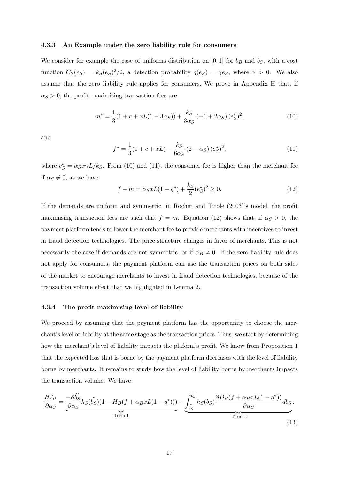#### 4.3.3 An Example under the zero liability rule for consumers

We consider for example the case of uniforms distribution on [0, 1] for  $b_B$  and  $b_S$ , with a cost function  $C_S(e_S) = k_S(e_S)^2/2$ , a detection probability  $q(e_S) = \gamma e_S$ , where  $\gamma > 0$ . We also assume that the zero liability rule applies for consumers. We prove in Appendix H that, if  $\alpha_S > 0$ , the profit maximising transaction fees are

$$
m^* = \frac{1}{3}(1 + c + xL(1 - 3\alpha_S)) + \frac{k_S}{3\alpha_S}(-1 + 2\alpha_S)(e_S^*)^2,
$$
\n(10)

and

$$
f^* = \frac{1}{3}(1 + c + xL) - \frac{k_S}{6\alpha_S} (2 - \alpha_S) (e^*_S)^2,
$$
\n(11)

where  $e^*_{\mathcal{S}} = \alpha_{\mathcal{S}} x \gamma L / k_{\mathcal{S}}$ . From (10) and (11), the consumer fee is higher than the merchant fee if  $\alpha_S \neq 0$ , as we have

$$
f - m = \alpha_S x L (1 - q^*) + \frac{k_S}{2} (e_S^*)^2 \ge 0.
$$
 (12)

If the demands are uniform and symmetric, in Rochet and Tirole  $(2003)$ 's model, the profit maximising transaction fees are such that  $f = m$ . Equation (12) shows that, if  $\alpha_S > 0$ , the payment platform tends to lower the merchant fee to provide merchants with incentives to invest in fraud detection technologies. The price structure changes in favor of merchants. This is not necessarily the case if demands are not symmetric, or if  $\alpha_B \neq 0$ . If the zero liability rule does not apply for consumers, the payment platform can use the transaction prices on both sides of the market to encourage merchants to invest in fraud detection technologies, because of the transaction volume effect that we highlighted in Lemma 2.

#### 4.3.4 The profit maximising level of liability

We proceed by assuming that the payment platform has the opportunity to choose the merchant's level of liability at the same stage as the transaction prices. Thus, we start by determining how the merchant's level of liability impacts the plaform's profit. We know from Proposition 1 that the expected loss that is borne by the payment platform decreases with the level of liability borne by merchants. It remains to study how the level of liability borne by merchants impacts the transaction volume. We have

$$
\frac{\partial V_P}{\partial \alpha_S} = \underbrace{\frac{-\partial \hat{b_S}}{\partial \alpha_S} h_S(\hat{b_S}) (1 - H_B(f + \alpha_B x L(1 - q^*)))}_{\text{Term I}} + \underbrace{\int_{\widehat{b_S}}^{\overline{b_s}} h_S(b_S) \frac{\partial D_B(f + \alpha_B x L(1 - q^*))}{\partial \alpha_S} db_S}_{\text{Term II}}.
$$
\n(13)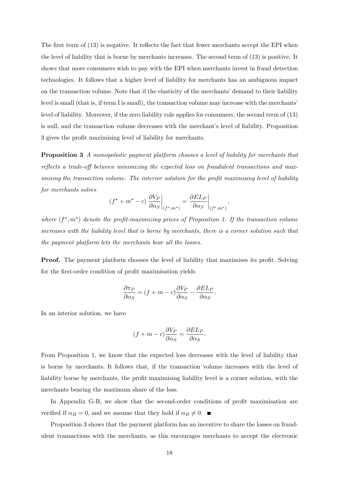The first term of  $(13)$  is negative. It reflects the fact that fewer merchants accept the EPI when the level of liability that is borne by merchants increases. The second term of (13) is positive. It shows that more consumers wish to pay with the EPI when merchants invest in fraud detection technologies. It follows that a higher level of liability for merchants has an ambiguous impact on the transaction volume. Note that if the elasticity of the merchants' demand to their liability level is small (that is, if term I is small), the transaction volume may increase with the merchants level of liability. Moreover, if the zero liability rule applies for consumers, the second term of (13) is null, and the transaction volume decreases with the merchant's level of liability. Proposition 3 gives the profit maximising level of liability for merchants.

Proposition 3 A monopolistic payment platform chooses a level of liability for merchants that reflects a trade-off between minimizing the expected loss on fraudulent transactions and maximising the transaction volume. The interior solution for the profit maximising level of liability for merchants solves

$$
(f^* + m^* - c) \left. \frac{\partial V_P}{\partial \alpha_S} \right|_{(f^*, m^*)} = \left. \frac{\partial E L_P}{\partial \alpha_S} \right|_{(f^*, m^*)},
$$

where  $(f^*, m^*)$  denote the profit-maximizing prices of Proposition 1. If the transaction volume increases with the liability level that is borne by merchants, there is a corner solution such that the payment platform lets the merchants bear all the losses.

**Proof.** The payment platform chooses the level of liability that maximises its profit. Solving for the first-order condition of profit maximisation yields

$$
\frac{\partial \pi_P}{\partial \alpha_S} = (f + m - c) \frac{\partial V_P}{\partial \alpha_S} - \frac{\partial E L_P}{\partial \alpha_S}.
$$

In an interior solution, we have

$$
(f+m-c)\frac{\partial V_P}{\partial \alpha_S} = \frac{\partial EL_P}{\partial \alpha_S}.
$$

From Proposition 1, we know that the expected loss decreases with the level of liability that is borne by merchants. It follows that, if the transaction volume increases with the level of liability borne by merchants, the profit maximising liability level is a corner solution, with the merchants bearing the maximum share of the loss.

In Appendix G-B, we show that the second-order conditions of profit maximisation are verified if  $\alpha_B = 0$ , and we assume that they hold if  $\alpha_B \neq 0$ .

Proposition 3 shows that the payment platform has an incentive to share the losses on fraudulent transactions with the merchants, as this encourages merchants to accept the electronic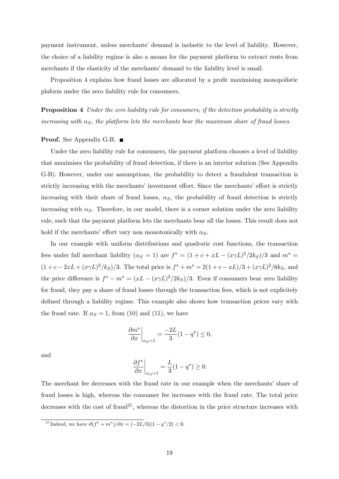payment instrument, unless merchantsí demand is inelastic to the level of liability. However, the choice of a liability regime is also a means for the payment platform to extract rents from merchants if the elasticity of the merchants' demand to the liability level is small.

Proposition 4 explains how fraud losses are allocated by a profit maximising monopolistic plaform under the zero liability rule for consumers.

Proposition 4 Under the zero liability rule for consumers, if the detection probability is strictly increasing with  $\alpha_S$ , the platform lets the merchants bear the maximum share of fraud losses.

#### Proof. See Appendix G-B. ■

Under the zero liability rule for consumers, the payment platform chooses a level of liability that maximises the probability of fraud detection, if there is an interior solution (See Appendix G-B). However, under our assumptions, the probability to detect a fraudulent transaction is strictly increasing with the merchants' investment effort. Since the merchants' effort is strictly increasing with their share of fraud losses,  $\alpha_{\rm S}$ , the probability of fraud detection is strictly increasing with  $\alpha_S$ . Therefore, in our model, there is a corner solution under the zero liability rule, such that the payment platform lets the merchants bear all the losses. This result does not hold if the merchants' effort vary non monotonically with  $\alpha_S$ .

In our example with uniform distributions and quadratic cost functions, the transaction fees under full merchant liability  $(\alpha_S = 1)$  are  $f^* = (1 + c + xL - (x\gamma L)^2/2k_S)/3$  and  $m^* =$  $(1 + c - 2xL + (x\gamma L)^2/k_S)/3$ . The total price is  $f^* + m^* = 2(1 + c - xL)/3 + (x\gamma L)^2/6k_S$ , and the price difference is  $f^* - m^* = (xL - (x\gamma L)^2/2k_S)/3$ . Even if consumers bear zero liability for fraud, they pay a share of fraud losses through the transaction fees, which is not explicitely defined through a liability regime. This example also shows how transaction prices vary with the fraud rate. If  $\alpha_S = 1$ , from (10) and (11), we have

$$
\left. \frac{\partial m^*}{\partial x} \right|_{\alpha_S = 1} = \frac{-2L}{3} (1 - q^*) \le 0,
$$

and

$$
\left. \frac{\partial f^*}{\partial x} \right|_{\alpha_S = 1} = \frac{L}{3} (1 - q^*) \ge 0.
$$

The merchant fee decreases with the fraud rate in our example when the merchants' share of fraud losses is high, whereas the consumer fee increases with the fraud rate. The total price decreases with the cost of fraud<sup>21</sup>, whereas the distortion in the price structure increases with

<sup>&</sup>lt;sup>21</sup>Indeed, we have  $\partial(f^* + m^*)/\partial x = (-2L/3)(1 - q^*/2) < 0$ .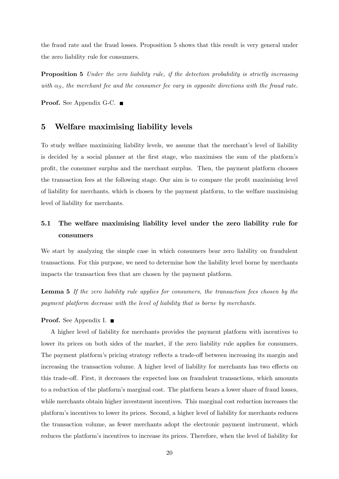the fraud rate and the fraud losses. Proposition 5 shows that this result is very general under the zero liability rule for consumers.

**Proposition 5** Under the zero liability rule, if the detection probability is strictly increasing with  $\alpha_{\rm S}$ , the merchant fee and the consumer fee vary in opposite directions with the fraud rate.

Proof. See Appendix G-C. ■

## 5 Welfare maximising liability levels

To study welfare maximizing liability levels, we assume that the merchant's level of liability is decided by a social planner at the first stage, who maximises the sum of the platform's proÖt, the consumer surplus and the merchant surplus. Then, the payment platform chooses the transaction fees at the following stage. Our aim is to compare the profit maximising level of liability for merchants, which is chosen by the payment platform, to the welfare maximising level of liability for merchants.

## 5.1 The welfare maximising liability level under the zero liability rule for consumers

We start by analyzing the simple case in which consumers bear zero liability on fraudulent transactions. For this purpose, we need to determine how the liability level borne by merchants impacts the transaction fees that are chosen by the payment platform.

Lemma 5 If the zero liability rule applies for consumers, the transaction fees chosen by the payment platform decrease with the level of liability that is borne by merchants.

#### Proof. See Appendix I. ■

A higher level of liability for merchants provides the payment platform with incentives to lower its prices on both sides of the market, if the zero liability rule applies for consumers. The payment platform's pricing strategy reflects a trade-off between increasing its margin and increasing the transaction volume. A higher level of liability for merchants has two effects on this trade-off. First, it decreases the expected loss on fraudulent transactions, which amounts to a reduction of the platform's marginal cost. The platform bears a lower share of fraud losses, while merchants obtain higher investment incentives. This marginal cost reduction increases the platformís incentives to lower its prices. Second, a higher level of liability for merchants reduces the transaction volume, as fewer merchants adopt the electronic payment instrument, which reduces the platform's incentives to increase its prices. Therefore, when the level of liability for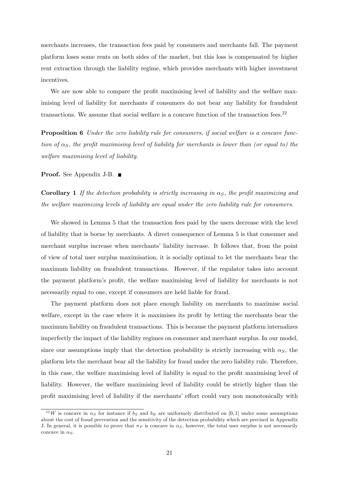merchants increases, the transaction fees paid by consumers and merchants fall. The payment platform loses some rents on both sides of the market, but this loss is compensated by higher rent extraction through the liability regime, which provides merchants with higher investment incentives.

We are now able to compare the profit maximising level of liability and the welfare maximising level of liability for merchants if consumers do not bear any liability for fraudulent transactions. We assume that social welfare is a concave function of the transaction fees. $22$ 

**Proposition 6** Under the zero liability rule for consumers, if social welfare is a concave function of  $\alpha_S$ , the profit maximising level of liability for merchants is lower than (or equal to) the welfare maximising level of liability.

#### **Proof.** See Appendix J-B. ■

**Corollary 1** If the detection probability is strictly increasing in  $\alpha_S$ , the profit maximizing and the welfare maximizing levels of liability are equal under the zero liability rule for consumers.

We showed in Lemma 5 that the transaction fees paid by the users decrease with the level of liability that is borne by merchants. A direct consequence of Lemma 5 is that consumer and merchant surplus increase when merchants' liability increase. It follows that, from the point of view of total user surplus maximisation, it is socially optimal to let the merchants bear the maximum liability on fraudulent transactions. However, if the regulator takes into account the payment platform's profit, the welfare maximising level of liability for merchants is not necessarily equal to one, except if consumers are held liable for fraud.

The payment platform does not place enough liability on merchants to maximise social welfare, except in the case where it is maximises its profit by letting the merchants bear the maximum liability on fraudulent transactions. This is because the payment platform internalizes imperfectly the impact of the liability regimes on consumer and merchant surplus. In our model, since our assumptions imply that the detection probability is strictly increasing with  $\alpha_S$ , the platform lets the merchant bear all the liability for fraud under the zero liability rule. Therefore, in this case, the welfare maximising level of liability is equal to the profit maximising level of liability. However, the welfare maximising level of liability could be strictly higher than the profit maximising level of liability if the merchants' effort could vary non monotonically with

<sup>&</sup>lt;sup>22</sup>W is concave in  $\alpha_S$  for instance if  $b_S$  and  $b_B$  are uniformely distributed on [0,1] under some assumptions about the cost of fraud prevention and the sensitivity of the detection probability which are precised in Appendix J. In general, it is possible to prove that  $\pi_P$  is concave in  $\alpha_S$ , however, the total user surplus is not necessarily concave in  $\alpha_S$ .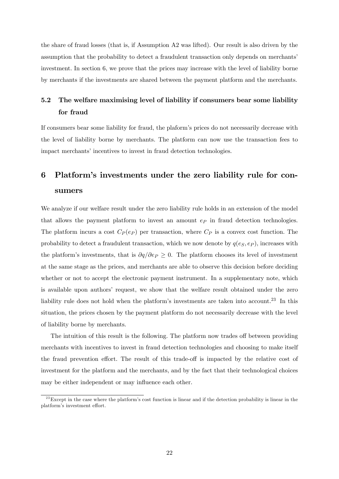the share of fraud losses (that is, if Assumption A2 was lifted). Our result is also driven by the assumption that the probability to detect a fraudulent transaction only depends on merchantsí investment. In section 6, we prove that the prices may increase with the level of liability borne by merchants if the investments are shared between the payment platform and the merchants.

## 5.2 The welfare maximising level of liability if consumers bear some liability for fraud

If consumers bear some liability for fraud, the plaform's prices do not necessarily decrease with the level of liability borne by merchants. The platform can now use the transaction fees to impact merchants' incentives to invest in fraud detection technologies.

## 6 Platformís investments under the zero liability rule for consumers

We analyze if our welfare result under the zero liability rule holds in an extension of the model that allows the payment platform to invest an amount  $e_P$  in fraud detection technologies. The platform incurs a cost  $C_P(e_P)$  per transaction, where  $C_P$  is a convex cost function. The probability to detect a fraudulent transaction, which we now denote by  $q(e_S, e_P)$ , increases with the platform's investments, that is  $\partial q/\partial e_P \geq 0$ . The platform chooses its level of investment at the same stage as the prices, and merchants are able to observe this decision before deciding whether or not to accept the electronic payment instrument. In a supplementary note, which is available upon authors' request, we show that the welfare result obtained under the zero liability rule does not hold when the platform's investments are taken into account.<sup>23</sup> In this situation, the prices chosen by the payment platform do not necessarily decrease with the level of liability borne by merchants.

The intuition of this result is the following. The platform now trades off between providing merchants with incentives to invest in fraud detection technologies and choosing to make itself the fraud prevention effort. The result of this trade-off is impacted by the relative cost of investment for the platform and the merchants, and by the fact that their technological choices may be either independent or may influence each other.

 $^{23}$ Except in the case where the platform's cost function is linear and if the detection probability is linear in the platform's investment effort.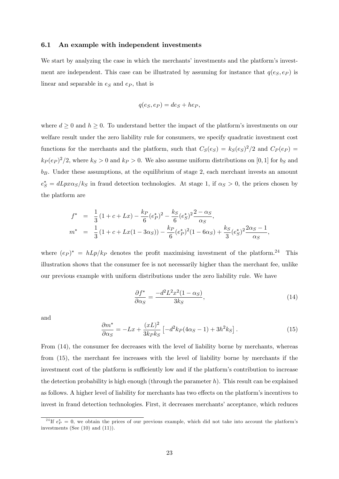#### 6.1 An example with independent investments

We start by analyzing the case in which the merchants' investments and the platform's investment are independent. This case can be illustrated by assuming for instance that  $q(e_S, e_P)$  is linear and separable in  $e<sub>S</sub>$  and  $e<sub>P</sub>$ , that is

$$
q(e_S, e_P) = de_S + he_P,
$$

where  $d \geq 0$  and  $h \geq 0$ . To understand better the impact of the platform's investments on our welfare result under the zero liability rule for consumers, we specify quadratic investment cost functions for the merchants and the platform, such that  $C_S(e_S) = k_S(e_S)^2/2$  and  $C_P(e_P) =$  $k_P (e_P)^2/2$ , where  $k_S > 0$  and  $k_P > 0$ . We also assume uniform distributions on [0, 1] for  $b_S$  and  $b_B$ . Under these assumptions, at the equilibrium of stage 2, each merchant invests an amount  $e^*_S = dLpx\alpha_S/k_S$  in fraud detection technologies. At stage 1, if  $\alpha_S > 0$ , the prices chosen by the platform are

$$
f^* = \frac{1}{3} (1 + c + Lx) - \frac{k_P}{6} (e_P^*)^2 - \frac{k_S}{6} (e_S^*)^2 \frac{2 - \alpha_S}{\alpha_S},
$$
  

$$
m^* = \frac{1}{3} (1 + c + Lx(1 - 3\alpha_S)) - \frac{k_P}{6} (e_P^*)^2 (1 - 6\alpha_S) + \frac{k_S}{3} (e_S^*)^2 \frac{2\alpha_S - 1}{\alpha_S},
$$

where  $(e_P)^* = hLp/k_P$  denotes the profit maximising investment of the platform.<sup>24</sup> This illustration shows that the consumer fee is not necessarily higher than the merchant fee, unlike our previous example with uniform distributions under the zero liability rule. We have

$$
\frac{\partial f^*}{\partial \alpha_S} = \frac{-d^2 L^2 x^2 (1 - \alpha_S)}{3k_S},\tag{14}
$$

and

$$
\frac{\partial m^*}{\partial \alpha_S} = -Lx + \frac{(xL)^2}{3k_P k_S} \left[ -d^2 k_P (4\alpha_S - 1) + 3h^2 k_S \right]. \tag{15}
$$

From (14), the consumer fee decreases with the level of liability borne by merchants, whereas from (15), the merchant fee increases with the level of liability borne by merchants if the investment cost of the platform is sufficiently low and if the platform's contribution to increase the detection probability is high enough (through the parameter  $h$ ). This result can be explained as follows. A higher level of liability for merchants has two effects on the platform's incentives to invest in fraud detection technologies. First, it decreases merchants' acceptance, which reduces

<sup>&</sup>lt;sup>24</sup>If  $e_P^* = 0$ , we obtain the prices of our previous example, which did not take into account the platform's investments (See (10) and (11)).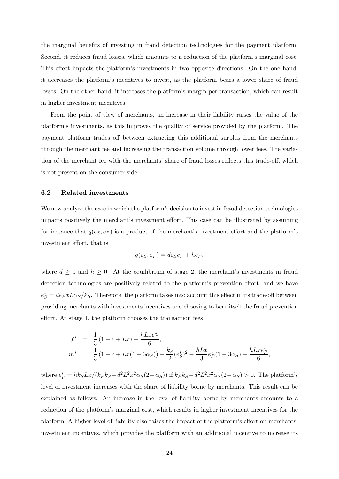the marginal benefits of investing in fraud detection technologies for the payment platform. Second, it reduces fraud losses, which amounts to a reduction of the platform's marginal cost. This effect impacts the platform's investments in two opposite directions. On the one hand, it decreases the platformís incentives to invest, as the platform bears a lower share of fraud losses. On the other hand, it increases the platform's margin per transaction, which can result in higher investment incentives.

From the point of view of merchants, an increase in their liability raises the value of the platformís investments, as this improves the quality of service provided by the platform. The payment platform trades off between extracting this additional surplus from the merchants through the merchant fee and increasing the transaction volume through lower fees. The variation of the merchant fee with the merchants' share of fraud losses reflects this trade-off, which is not present on the consumer side.

#### 6.2 Related investments

We now analyze the case in which the platform's decision to invest in fraud detection technologies impacts positively the merchant's investment effort. This case can be illustrated by assuming for instance that  $q(e_S, e_P)$  is a product of the merchant's investment effort and the platform's investment effort, that is

$$
q(e_S, e_P) = de_S e_P + he_P,
$$

where  $d \geq 0$  and  $h \geq 0$ . At the equilibrium of stage 2, the merchant's investments in fraud detection technologies are positively related to the platform's prevention effort, and we have  $e^*_{\mathcal{S}}=de_{\mathcal{P}}xL\alpha_{\mathcal{S}}/k_{\mathcal{S}}$ . Therefore, the platform takes into account this effect in its trade-off between providing merchants with investments incentives and choosing to bear itself the fraud prevention effort. At stage 1, the platform chooses the transaction fees

$$
f^* = \frac{1}{3} (1 + c + Lx) - \frac{hLxe_P^*}{6},
$$
  
\n
$$
m^* = \frac{1}{3} (1 + c + Lx(1 - 3\alpha_S)) + \frac{k_S}{2} (e_S^*)^2 - \frac{hLx}{3} e_P^* (1 - 3\alpha_S) + \frac{hLxe_P^*}{6},
$$

where  $e_P^* = hk_S Lx/(k_P k_S - d^2 L^2 x^2 \alpha_S(2-\alpha_S))$  if  $k_P k_S - d^2 L^2 x^2 \alpha_S(2-\alpha_S) > 0$ . The platform's level of investment increases with the share of liability borne by merchants. This result can be explained as follows. An increase in the level of liability borne by merchants amounts to a reduction of the platform's marginal cost, which results in higher investment incentives for the platform. A higher level of liability also raises the impact of the platform's effort on merchants' investment incentives, which provides the platform with an additional incentive to increase its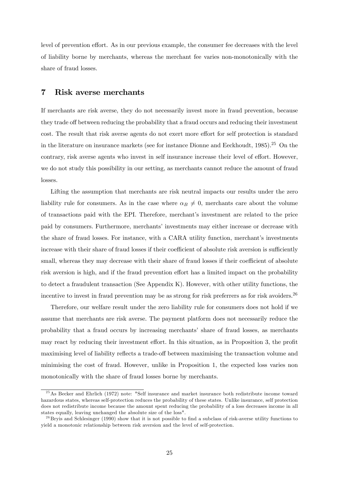level of prevention effort. As in our previous example, the consumer fee decreases with the level of liability borne by merchants, whereas the merchant fee varies non-monotonically with the share of fraud losses.

## 7 Risk averse merchants

If merchants are risk averse, they do not necessarily invest more in fraud prevention, because they trade off between reducing the probability that a fraud occurs and reducing their investment cost. The result that risk averse agents do not exert more effort for self protection is standard in the literature on insurance markets (see for instance Dionne and Eeckhoudt, 1985).<sup>25</sup> On the contrary, risk averse agents who invest in self insurance increase their level of effort. However, we do not study this possibility in our setting, as merchants cannot reduce the amount of fraud losses.

Lifting the assumption that merchants are risk neutral impacts our results under the zero liability rule for consumers. As in the case where  $\alpha_B \neq 0$ , merchants care about the volume of transactions paid with the EPI. Therefore, merchant's investment are related to the price paid by consumers. Furthermore, merchants' investments may either increase or decrease with the share of fraud losses. For instance, with a CARA utility function, merchant's investments increase with their share of fraud losses if their coefficient of absolute risk aversion is sufficiently small, whereas they may decrease with their share of fraud losses if their coefficient of absolute risk aversion is high, and if the fraud prevention effort has a limited impact on the probability to detect a fraudulent transaction (See Appendix K). However, with other utility functions, the incentive to invest in fraud prevention may be as strong for risk preferrers as for risk avoiders.  $^{26}$ 

Therefore, our welfare result under the zero liability rule for consumers does not hold if we assume that merchants are risk averse. The payment platform does not necessarily reduce the probability that a fraud occurs by increasing merchants' share of fraud losses, as merchants may react by reducing their investment effort. In this situation, as in Proposition 3, the profit maximising level of liability reflects a trade-off between maximising the transaction volume and minimising the cost of fraud. However, unlike in Proposition 1, the expected loss varies non monotonically with the share of fraud losses borne by merchants.

<sup>&</sup>lt;sup>25</sup>As Becker and Ehrlich (1972) note: "Self insurance and market insurance both redistribute income toward hazardous states, whereas self-protection reduces the probability of these states. Unlike insurance, self protection does not redistribute income because the amount spent reducing the probability of a loss decreases income in all states equally, leaving unchanged the absolute size of the loss".

 $^{26}$ Bryis and Schlesinger (1990) show that it is not possible to find a subclass of risk-averse utility functions to yield a monotonic relationship between risk aversion and the level of self-protection.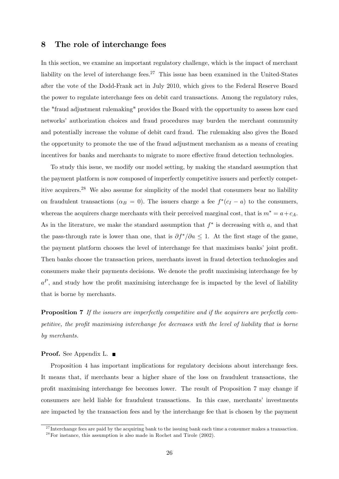## 8 The role of interchange fees

In this section, we examine an important regulatory challenge, which is the impact of merchant liability on the level of interchange fees.<sup>27</sup> This issue has been examined in the United-States after the vote of the Dodd-Frank act in July 2010, which gives to the Federal Reserve Board the power to regulate interchange fees on debit card transactions. Among the regulatory rules, the "fraud adjustment rulemaking" provides the Board with the opportunity to assess how card networks' authorization choices and fraud procedures may burden the merchant community and potentially increase the volume of debit card fraud. The rulemaking also gives the Board the opportunity to promote the use of the fraud adjustment mechanism as a means of creating incentives for banks and merchants to migrate to more effective fraud detection technologies.

To study this issue, we modify our model setting, by making the standard assumption that the payment platform is now composed of imperfectly competitive issuers and perfectly competitive acquirers.<sup>28</sup> We also assume for simplicity of the model that consumers bear no liability on fraudulent transactions ( $\alpha_B = 0$ ). The issuers charge a fee  $f^*(c_I - a)$  to the consumers, whereas the acquirers charge merchants with their perceived marginal cost, that is  $m^* = a + c_A$ . As in the literature, we make the standard assumption that  $f^*$  is decreasing with a, and that the pass-through rate is lower than one, that is  $\partial f^* / \partial a \leq 1$ . At the first stage of the game, the payment platform chooses the level of interchange fee that maximises banks' joint profit. Then banks choose the transaction prices, merchants invest in fraud detection technologies and consumers make their payments decisions. We denote the profit maximising interchange fee by  $a^P$ , and study how the profit maximising interchange fee is impacted by the level of liability that is borne by merchants.

**Proposition 7** If the issuers are imperfectly competitive and if the acquirers are perfectly competitive, the profit maximising interchange fee decreases with the level of liability that is borne by merchants.

#### **Proof.** See Appendix L. ■

Proposition 4 has important implications for regulatory decisions about interchange fees. It means that, if merchants bear a higher share of the loss on fraudulent transactions, the profit maximising interchange fee becomes lower. The result of Proposition 7 may change if consumers are held liable for fraudulent transactions. In this case, merchants' investments are impacted by the transaction fees and by the interchange fee that is chosen by the payment

 $^{27}$ Interchange fees are paid by the acquiring bank to the issuing bank each time a consumer makes a transaction.  $^{28}$  For instance, this assumption is also made in Rochet and Tirole (2002).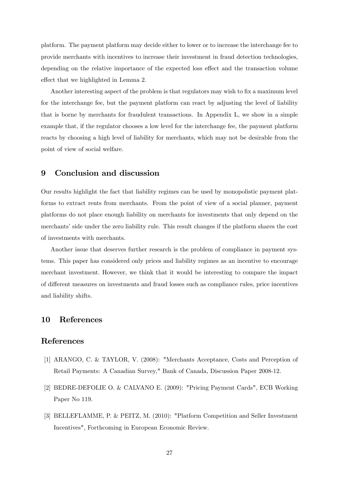platform. The payment platform may decide either to lower or to increase the interchange fee to provide merchants with incentives to increase their investment in fraud detection technologies, depending on the relative importance of the expected loss effect and the transaction volume effect that we highlighted in Lemma 2.

Another interesting aspect of the problem is that regulators may wish to fix a maximum level for the interchange fee, but the payment platform can react by adjusting the level of liability that is borne by merchants for fraudulent transactions. In Appendix L, we show in a simple example that, if the regulator chooses a low level for the interchange fee, the payment platform reacts by choosing a high level of liability for merchants, which may not be desirable from the point of view of social welfare.

## 9 Conclusion and discussion

Our results highlight the fact that liability regimes can be used by monopolistic payment platforms to extract rents from merchants. From the point of view of a social planner, payment platforms do not place enough liability on merchants for investments that only depend on the merchants' side under the zero liability rule. This result changes if the platform shares the cost of investments with merchants.

Another issue that deserves further research is the problem of compliance in payment systems. This paper has considered only prices and liability regimes as an incentive to encourage merchant investment. However, we think that it would be interesting to compare the impact of different measures on investments and fraud losses such as compliance rules, price incentives and liability shifts.

## 10 References

### References

- [1] ARANGO, C. & TAYLOR, V. (2008): "Merchants Acceptance, Costs and Perception of Retail Payments: A Canadian Survey," Bank of Canada, Discussion Paper 2008-12.
- [2] BEDRE-DEFOLIE O. & CALVANO E. (2009): "Pricing Payment Cards", ECB Working Paper No 119.
- [3] BELLEFLAMME, P. & PEITZ, M. (2010): "Platform Competition and Seller Investment Incentives", Forthcoming in European Economic Review.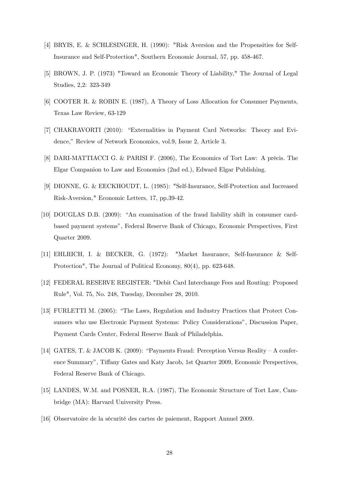- [4] BRYIS, E. & SCHLESINGER, H. (1990): "Risk Aversion and the Propensities for Self-Insurance and Self-Protection", Southern Economic Journal, 57, pp. 458-467.
- [5] BROWN, J. P. (1973) "Toward an Economic Theory of Liability," The Journal of Legal Studies, 2,2: 323-349
- [6] COOTER R. & ROBIN E. (1987), A Theory of Loss Allocation for Consumer Payments, Texas Law Review, 63-129
- [7] CHAKRAVORTI (2010): "Externalities in Payment Card Networks: Theory and Evidence," Review of Network Economics, vol.9, Issue 2, Article 3.
- [8] DARI-MATTIACCI G. & PARISI F. (2006), The Economics of Tort Law: A précis. The Elgar Companion to Law and Economics (2nd ed.), Edward Elgar Publishing.
- [9] DIONNE, G. & EECKHOUDT, L. (1985): "Self-Insurance, Self-Protection and Increased Risk-Aversion," Economic Letters, 17, pp.39-42.
- [10] DOUGLAS D.B. (2009): "An examination of the fraud liability shift in consumer cardbased payment systemsî, Federal Reserve Bank of Chicago, Economic Perspectives, First Quarter 2009.
- [11] EHLRICH, I. & BECKER, G. (1972): "Market Insurance, Self-Insurance & Self-Protection", The Journal of Political Economy, 80(4), pp. 623-648.
- [12] FEDERAL RESERVE REGISTER: "Debit Card Interchange Fees and Routing: Proposed Rule", Vol. 75, No. 248, Tuesday, December 28, 2010.
- [13] FURLETTI M. (2005): "The Laws, Regulation and Industry Practices that Protect Consumers who use Electronic Payment Systems: Policy Considerationsî, Discussion Paper, Payment Cards Center, Federal Reserve Bank of Philadelphia.
- [14] GATES, T. & JACOB K. (2009): "Payments Fraud: Perception Versus Reality A conference Summary", Tiffany Gates and Katy Jacob, 1st Quarter 2009, Economic Perspectives, Federal Reserve Bank of Chicago.
- [15] LANDES, W.M. and POSNER, R.A. (1987), The Economic Structure of Tort Law, Cambridge (MA): Harvard University Press.
- [16] Observatoire de la sÈcuritÈ des cartes de paiement, Rapport Annuel 2009.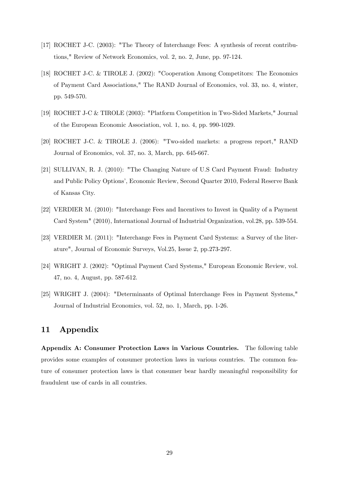- [17] ROCHET J-C. (2003): "The Theory of Interchange Fees: A synthesis of recent contributions," Review of Network Economics, vol. 2, no. 2, June, pp. 97-124.
- [18] ROCHET J-C. & TIROLE J. (2002): "Cooperation Among Competitors: The Economics of Payment Card Associations," The RAND Journal of Economics, vol. 33, no. 4, winter, pp. 549-570.
- [19] ROCHET J-C & TIROLE (2003): "Platform Competition in Two-Sided Markets," Journal of the European Economic Association, vol. 1, no. 4, pp. 990-1029.
- [20] ROCHET J-C. & TIROLE J. (2006): "Two-sided markets: a progress report," RAND Journal of Economics, vol. 37, no. 3, March, pp. 645-667.
- [21] SULLIVAN, R. J. (2010): "The Changing Nature of U.S Card Payment Fraud: Industry and Public Policy Options', Economic Review, Second Quarter 2010, Federal Reserve Bank of Kansas City.
- [22] VERDIER M. (2010): "Interchange Fees and Incentives to Invest in Quality of a Payment Card System" (2010), International Journal of Industrial Organization, vol.28, pp. 539-554.
- [23] VERDIER M. (2011): "Interchange Fees in Payment Card Systems: a Survey of the literature", Journal of Economic Surveys, Vol.25, Issue 2, pp.273-297.
- [24] WRIGHT J. (2002): "Optimal Payment Card Systems," European Economic Review, vol. 47, no. 4, August, pp. 587-612.
- [25] WRIGHT J. (2004): "Determinants of Optimal Interchange Fees in Payment Systems," Journal of Industrial Economics, vol. 52, no. 1, March, pp. 1-26.

## 11 Appendix

Appendix A: Consumer Protection Laws in Various Countries. The following table provides some examples of consumer protection laws in various countries. The common feature of consumer protection laws is that consumer bear hardly meaningful responsibility for fraudulent use of cards in all countries.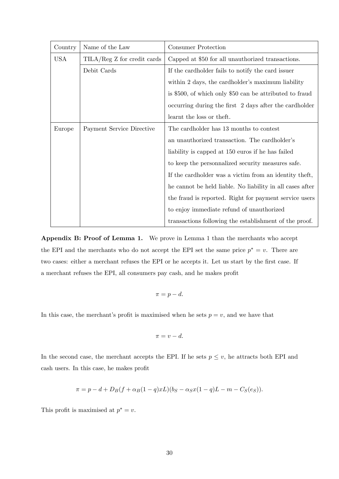| Country                                                    | Name of the Law           | Consumer Protection                                       |  |
|------------------------------------------------------------|---------------------------|-----------------------------------------------------------|--|
| <b>USA</b><br>$\text{TILA}/\text{Reg } Z$ for credit cards |                           | Capped at \$50 for all unauthorized transactions.         |  |
|                                                            | Debit Cards               | If the card holder fails to notify the card issuer        |  |
|                                                            |                           | within 2 days, the cardholder's maximum liability         |  |
|                                                            |                           | is \$500, of which only \$50 can be attributed to fraud   |  |
|                                                            |                           | occurring during the first 2 days after the cardholder    |  |
|                                                            |                           | learnt the loss or theft.                                 |  |
| Europe                                                     | Payment Service Directive | The cardholder has 13 months to contest                   |  |
|                                                            |                           | an unauthorized transaction. The cardholder's             |  |
|                                                            |                           | liability is capped at 150 euros if he has failed         |  |
|                                                            |                           | to keep the personnalized security measures safe.         |  |
|                                                            |                           | If the cardholder was a victim from an identity theft,    |  |
|                                                            |                           | he cannot be held liable. No liability in all cases after |  |
|                                                            |                           | the fraud is reported. Right for payment service users    |  |
|                                                            |                           | to enjoy immediate refund of unauthorized                 |  |
|                                                            |                           | transactions following the establishment of the proof.    |  |

Appendix B: Proof of Lemma 1. We prove in Lemma 1 than the merchants who accept the EPI and the merchants who do not accept the EPI set the same price  $p^* = v$ . There are two cases: either a merchant refuses the EPI or he accepts it. Let us start by the first case. If a merchant refuses the EPI, all consumers pay cash, and he makes profit

$$
\pi = p - d.
$$

In this case, the merchant's profit is maximised when he sets  $p = v$ , and we have that

$$
\pi = v - d.
$$

In the second case, the merchant accepts the EPI. If he sets  $p \leq v$ , he attracts both EPI and cash users. In this case, he makes profit

$$
\pi = p - d + D_B(f + \alpha_B(1 - q)xL)(b_S - \alpha_S x(1 - q)L - m - C_S(e_S)).
$$

This profit is maximised at  $p^* = v$ .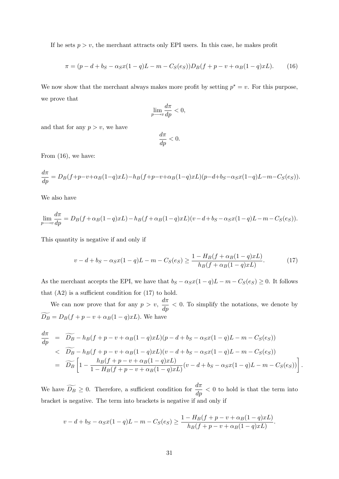If he sets  $p > v$ , the merchant attracts only EPI users. In this case, he makes profit

$$
\pi = (p - d + b_S - \alpha_S x (1 - q)L - m - C_S(e_S)) D_B(f + p - v + \alpha_B (1 - q)xL). \tag{16}
$$

We now show that the merchant always makes more profit by setting  $p^* = v$ . For this purpose, we prove that

$$
\lim_{p \longrightarrow v} \frac{d\pi}{dp} < 0,
$$

and that for any  $p > v$ , we have

$$
\frac{d\pi}{dp} < 0.
$$

From (16), we have:

$$
\frac{d\pi}{dp} = D_B(f + p - v + \alpha_B(1-q)xL) - h_B(f + p - v + \alpha_B(1-q)xL)(p - d + b_S - \alpha_S x(1-q)L - m - C_S(e_S)).
$$

We also have

$$
\lim_{p \to v} \frac{d\pi}{dp} = D_B(f + \alpha_B(1-q)xL) - h_B(f + \alpha_B(1-q)xL)(v - d + b_S - \alpha_S x(1-q)L - m - C_S(e_S)).
$$

This quantity is negative if and only if

$$
v - d + b_S - \alpha_S x (1 - q) L - m - C_S(e_S) \ge \frac{1 - H_B(f + \alpha_B(1 - q)xL)}{h_B(f + \alpha_B(1 - q)xL)}.
$$
 (17)

As the merchant accepts the EPI, we have that  $b_S - \alpha_S x(1 - q)L - m - C_S(e_S) \geq 0$ . It follows that  $(A2)$  is a sufficient condition for  $(17)$  to hold.

We can now prove that for any  $p > v$ ,  $\frac{d\pi}{dp} < 0$ . To simplify the notations, we denote by  $D_B = D_B(f + p - v + \alpha_B(1 - q)xL)$ . We have

$$
\frac{d\pi}{dp} = \widetilde{D_B} - h_B(f + p - v + \alpha_B(1 - q)xL)(p - d + b_S - \alpha_S x(1 - q)L - m - C_S(e_S))
$$
\n
$$
\leq \widetilde{D_B} - h_B(f + p - v + \alpha_B(1 - q)xL)(v - d + b_S - \alpha_S x(1 - q)L - m - C_S(e_S))
$$
\n
$$
= \widetilde{D_B} \left[ 1 - \frac{h_B(f + p - v + \alpha_B(1 - q)xL)}{1 - H_B(f + p - v + \alpha_B(1 - q)xL)}(v - d + b_S - \alpha_S x(1 - q)L - m - C_S(e_S)) \right].
$$

We have  $\widetilde{D_B} \ge 0$ . Therefore, a sufficient condition for  $\frac{d\pi}{dp} < 0$  to hold is that the term into bracket is negative. The term into brackets is negative if and only if

$$
v - d + b_S - \alpha_S x (1 - q) L - m - C_S(e_S) \ge \frac{1 - H_B(f + p - v + \alpha_B(1 - q)xL)}{h_B(f + p - v + \alpha_B(1 - q)xL)}.
$$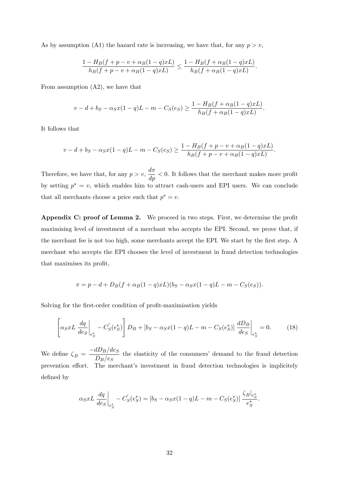As by assumption (A1) the hazard rate is increasing, we have that, for any  $p > v$ ,

$$
\frac{1-H_B(f+p-v+\alpha_B(1-q)xL)}{h_B(f+p-v+\alpha_B(1-q)xL)} \leq \frac{1-H_B(f+\alpha_B(1-q)xL)}{h_B(f+\alpha_B(1-q)xL)}.
$$

From assumption (A2), we have that

$$
v - d + b_S - \alpha_S x (1 - q) L - m - C_S(e_S) \ge \frac{1 - H_B(f + \alpha_B(1 - q)xL)}{h_B(f + \alpha_B(1 - q)xL)}.
$$

It follows that

$$
v - d + b_S - \alpha_S x (1 - q) L - m - C_S(e_S) \geq \frac{1 - H_B(f + p - v + \alpha_B(1 - q)xL)}{h_B(f + p - v + \alpha_B(1 - q)xL)}.
$$

Therefore, we have that, for any  $p > v$ ,  $\frac{d\pi}{dp} < 0$ . It follows that the merchant makes more profit by setting  $p^* = v$ , which enables him to attract cash-users and EPI users. We can conclude that all merchants choose a price such that  $p^* = v$ .

Appendix C: proof of Lemma 2. We proceed in two steps. First, we determine the profit maximising level of investment of a merchant who accepts the EPI. Second, we prove that, if the merchant fee is not too high, some merchants accept the EPI. We start by the first step. A merchant who accepts the EPI chooses the level of investment in fraud detection technologies that maximises its profit,

$$
\pi = p - d + D_B(f + \alpha_B(1 - q)xL)(b_S - \alpha_S x(1 - q)L - m - C_S(e_S)).
$$

Solving for the first-order condition of profit-maximisation yields

$$
\left[\alpha_{S}xL\frac{dq}{de_{S}}\Big|_{e_{S}^{*}} - C_{S}'(e_{S}^{*})\right]D_{B} + \left[b_{S} - \alpha_{S}x(1-q)L - m - C_{S}(e_{S}^{*})\right]\frac{dD_{B}}{de_{S}}\Big|_{e_{S}^{*}} = 0.
$$
 (18)

We define  $\zeta_B = \frac{-dD_B/de_S}{D_B/e_S}$  $\frac{dD}{dE}$  the elasticity of the consumers' demand to the fraud detection prevention effort. The merchant's investment in fraud detection technologies is implicitely defined by

$$
\alpha_S x L \left. \frac{dq}{de_S} \right|_{e_S^*} - C'_S(e_S^*) = [b_S - \alpha_S x (1 - q) L - m - C_S(e_S^*)] \frac{\zeta_B|_{e_S^*}}{e_S^*}.
$$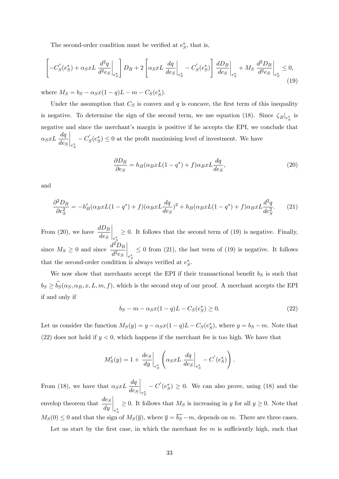The second-order condition must be verified at  $e^*_S$ , that is,

$$
\left[-C_S^{\prime}(e_S^*) + \alpha_S x L \frac{d^2q}{d^2e_S}\bigg|_{e_S^*}\right]D_B + 2\left[\alpha_S x L \frac{dq}{de_S}\bigg|_{e_S^*} - C_S^{\prime}(e_S^*)\right] \frac{dD_B}{de_S}\bigg|_{e_S^*} + M_S \frac{d^2D_B}{d^2e_S}\bigg|_{e_S^*} \le 0,
$$
\n(19)

where  $M_S = b_S - \alpha_S x (1 - q)L - m - C_S(e_S^*)$ .

Under the assumption that  $C_S$  is convex and  $q$  is concave, the first term of this inequality is negative. To determine the sign of the second term, we use equation (18). Since  $\zeta_B|_{e^*_S}$  is negative and since the merchant's margin is positive if he accepts the EPI, we conclude that  $\alpha_S x L \frac{dq}{de_S}$  $\Bigg|_{e^*_S}$  $-C'_{S}(e_{S}^{*}) \leq 0$  at the profit maximising level of investment. We have

$$
\frac{\partial D_B}{\partial e_S} = h_B(\alpha_B x L(1 - q^*) + f)\alpha_B x L \frac{dq}{de_S},\tag{20}
$$

and

$$
\frac{\partial^2 D_B}{\partial e_S^2} = -h_B'(\alpha_B x L(1 - q^*) + f)(\alpha_B x L \frac{dq}{de_S})^2 + h_B(\alpha_B x L(1 - q^*) + f)\alpha_B x L \frac{d^2 q}{de_S^2}.
$$
 (21)

From (20), we have  $\frac{dD_B}{dD}$  $de_S$  $\Big|_{e^*_S}$  $\geq$  0. It follows that the second term of (19) is negative. Finally, since  $M_S \geq 0$  and since  $\frac{d^2 D_B}{d^2 e_S}$  $d^2e_S$  $\Bigg|_{e^*_S}$  $\leq$  0 from (21), the last term of (19) is negative. It follows that the second-order condition is always verified at  $e^*_{S}$ .

We now show that merchants accept the EPI if their transactional benefit  $b_S$  is such that  $b_S \ge b_S(\alpha_S, \alpha_B, x, L, m, f)$ , which is the second step of our proof. A merchant accepts the EPI if and only if

$$
b_S - m - \alpha_S x (1 - q) L - C_S(e_S^*) \ge 0.
$$
 (22)

Let us consider the function  $M_S(y) = y - \alpha_S x(1 - q)L - C_S(e_S^*)$ , where  $y = b_S - m$ . Note that (22) does not hold if  $y < 0$ , which happens if the merchant fee is too high. We have that

$$
M'_{S}(y) = 1 + \left. \frac{de_S}{dy} \right|_{e^*_{S}} \left( \alpha_S x L \left. \frac{dq}{de_S} \right|_{e^*_{S}} - C'(e^*_{S}) \right).
$$

From (18), we have that  $\alpha_S x L \frac{dq}{de_S}$  $\Bigg|_{e^*_S}$  $-C'(e^*_S) \geq 0$ . We can also prove, using (18) and the envelop theorem that  $\frac{des}{dy}$  $\begin{cases} \sum_{e_{\mathcal{S}}^*} \geq 0. \end{cases}$  It follows that  $M_S$  is increasing in y for all  $y \geq 0$ . Note that  $M_S(0) \leq 0$  and that the sign of  $M_S(\overline{y})$ , where  $\overline{y} = \overline{b_S} - m$ , depends on m. There are three cases.

Let us start by the first case, in which the merchant fee  $m$  is sufficiently high, such that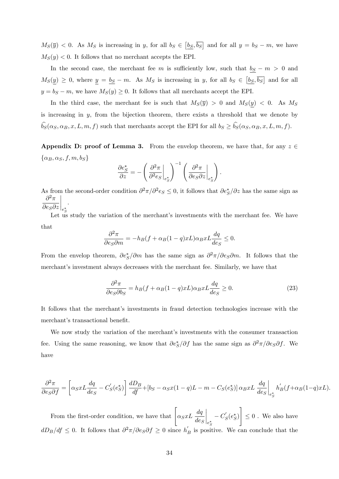$M_S(\overline{y}) < 0$ . As  $M_S$  is increasing in y, for all  $b_S \in \left[b_S, \overline{b_S}\right]$  and for all  $y = b_S - m$ , we have  $M_S(y)$  < 0. It follows that no merchant accepts the EPI.

In the second case, the merchant fee m is sufficiently low, such that  $b_S - m > 0$  and  $M_S(\underline{y}) \geq 0$ , where  $\underline{y} = \underline{b_S} - m$ . As  $M_S$  is increasing in y, for all  $b_S \in [\underline{b_S}, \overline{b_S}]$  and for all  $y = b_S - m$ , we have  $M_S(y) \geq 0$ . It follows that all merchants accept the EPI.

In the third case, the merchant fee is such that  $M_S(\bar{y}) > 0$  and  $M_S(y) < 0$ . As  $M_S$ is increasing in y, from the bijection theorem, there exists a threshold that we denote by  $b_S(\alpha_S, \alpha_B, x, L, m, f)$  such that merchants accept the EPI for all  $b_S \ge b_S(\alpha_S, \alpha_B, x, L, m, f)$ .

Appendix D: proof of Lemma 3. From the envelop theorem, we have that, for any  $z \in$  $\{\alpha_B, \alpha_S, f, m, b_S\}$ 

$$
\frac{\partial e_S^*}{\partial z} = -\left(\left.\frac{\partial^2 \pi}{\partial^2 e_S}\right|_{e_S^*}\right)^{-1} \left(\left.\frac{\partial^2 \pi}{\partial e_S \partial z}\right|_{e_S^*}\right).
$$

As from the second-order condition  $\partial^2 \pi / \partial^2 e_S \leq 0$ , it follows that  $\partial e^*_S / \partial z$  has the same sign as  $\partial^2 \pi$  $\partial e_S\partial z$  $\overline{\phantom{a}}$  $\Big\|_{e^*_S}$ .

Let us study the variation of the merchant's investments with the merchant fee. We have that

$$
\frac{\partial^2 \pi}{\partial e_S \partial m} = -h_B (f + \alpha_B (1 - q) x L) \alpha_B x L \frac{dq}{de_S} \le 0.
$$

From the envelop theorem,  $\partial e^*_S/\partial m$  has the same sign as  $\partial^2 \pi/\partial e_S \partial m$ . It follows that the merchant's investment always decreases with the merchant fee. Similarly, we have that

$$
\frac{\partial^2 \pi}{\partial e_S \partial b_S} = h_B(f + \alpha_B(1 - q)x) \alpha_B x L \frac{dq}{de_S} \ge 0.
$$
\n(23)

It follows that the merchant's investments in fraud detection technologies increase with the merchant's transactional benefit.

We now study the variation of the merchant's investments with the consumer transaction fee. Using the same reasoning, we know that  $\partial e^*_S/\partial f$  has the same sign as  $\partial^2 \pi / \partial e_S \partial f$ . We have

$$
\frac{\partial^2 \pi}{\partial e_S \partial f} = \left[ \alpha_S x L \frac{dq}{de_S} - C'_S(e_S^*) \right] \frac{dD_B}{df} + \left[ b_S - \alpha_S x (1 - q) L - m - C_S(e_S^*) \right] \alpha_B x L \frac{dq}{de_S} \bigg|_{e_S^*} h'_B(f + \alpha_B (1 - q) x L).
$$

From the first-order condition, we have that  $\int \alpha_S x L \frac{dq}{deS}$  $\Bigg|_{e^*_S}$  $-C'_{S}(e_{S}^{*})$ 1  $\leq 0$  . We also have  $dD_B/df \leq 0$ . It follows that  $\partial^2 \pi / \partial e_S \partial f \geq 0$  since  $h'_B$  is positive. We can conclude that the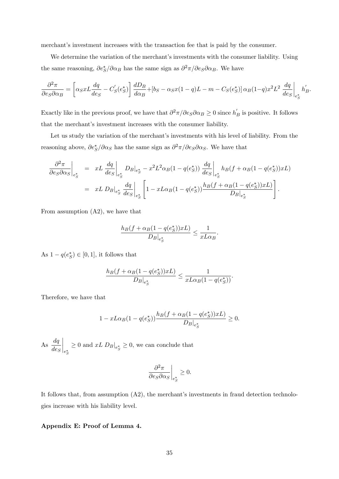merchant's investment increases with the transaction fee that is paid by the consumer.

We determine the variation of the merchant's investments with the consumer liability. Using the same reasoning,  $\partial e^*_S / \partial \alpha_B$  has the same sign as  $\partial^2 \pi / \partial e_S \partial \alpha_B$ . We have

$$
\frac{\partial^2 \pi}{\partial e_S \partial \alpha_B} = \left[ \alpha_S x L \frac{dq}{de_S} - C'_S(e^*_S) \right] \frac{dD_B}{d\alpha_B} + \left[ b_S - \alpha_S x (1 - q) L - m - C_S(e^*_S) \right] \alpha_B (1 - q) x^2 L^2 \left. \frac{dq}{de_S} \right|_{e^*_S} h'_B.
$$

Exactly like in the previous proof, we have that  $\partial^2 \pi / \partial e_S \partial \alpha_B \ge 0$  since  $h'_B$  is positive. It follows that the merchant's investment increases with the consumer liability.

Let us study the variation of the merchant's investments with his level of liability. From the reasoning above,  $\partial e^*_S/\partial \alpha_S$  has the same sign as  $\partial^2 \pi/\partial e_S \partial \alpha_S$ . We have that

$$
\frac{\partial^2 \pi}{\partial e_S \partial \alpha_S}\Big|_{e_S^*} = xL \frac{dq}{de_S}\Big|_{e_S^*} D_B|_{e_S^*} - x^2 L^2 \alpha_B (1 - q(e_S^*)) \frac{dq}{de_S}\Big|_{e_S^*} h_B(f + \alpha_B (1 - q(e_S^*))xL)
$$
  

$$
= xL D_B|_{e_S^*} \frac{dq}{de_S}\Big|_{e_S^*} \left[1 - xL\alpha_B (1 - q(e_S^*)) \frac{h_B(f + \alpha_B (1 - q(e_S^*))xL)}{D_B|_{e_S^*}}\right].
$$

From assumption (A2), we have that

$$
\frac{h_B(f + \alpha_B(1 - q(e^*_S))xL)}{D_B|_{e^*_S}} \le \frac{1}{xL\alpha_B}
$$

:

As  $1 - q(e^*_S) \in [0, 1]$ , it follows that

$$
\frac{h_B(f + \alpha_B(1 - q(e_S^*))xL)}{D_B|_{e_S^*}} \le \frac{1}{xL\alpha_B(1 - q(e_S^*))}.
$$

Therefore, we have that

$$
1 - xL\alpha_B(1 - q(e_S^*))\frac{h_B(f + \alpha_B(1 - q(e_S^*))xL)}{D_B|_{e_S^*}} \ge 0.
$$

As  $\frac{dq}{q}$  $_{deg}$  $\Bigg\vert_{e^*_S}$  $\geq 0$  and  $xL D_B|_{e^*_S} \geq 0$ , we can conclude that

$$
\left. \frac{\partial^2 \pi}{\partial e_S \partial \alpha_S} \right|_{e_S^*} \ge 0.
$$

It follows that, from assumption  $(A2)$ , the merchant's investments in fraud detection technologies increase with his liability level.

#### Appendix E: Proof of Lemma 4.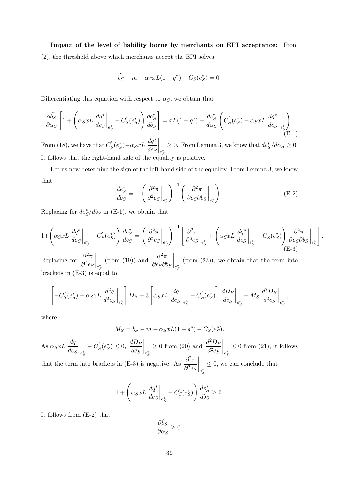## Impact of the level of liability borne by merchants on EPI acceptance: From

(2), the threshold above which merchants accept the EPI solves

$$
\hat{b_S} - m - \alpha_S x L (1 - q^*) - C_S(e_S^*) = 0.
$$

Differentiating this equation with respect to  $\alpha_S$ , we obtain that

$$
\frac{\partial \widehat{b_S}}{\partial \alpha_S} \left[ 1 + \left( \alpha_S x L \frac{dq^*}{de_S} \Big|_{e_S^*} - C_S'(e_S^*) \right) \frac{de_S^*}{db_S} \right] = xL(1 - q^*) + \frac{de_S^*}{d\alpha_S} \left( C_S'(e_S^*) - \alpha_S x L \frac{dq^*}{de_S} \Big|_{e_S^*} \right). \tag{E-1}
$$

From (18), we have that  $C'_{S}(e_{S}^{*}) - \alpha_{S} x L \frac{dq^{*}}{des}$  $\Bigg|_{e^*_S}$  $\geq 0$ . From Lemma 3, we know that  $de_S^*/d\alpha_S \geq 0$ . It follows that the right-hand side of the equality is positive.

Let us now determine the sign of the left-hand side of the equality. From Lemma 3, we know that

$$
\frac{de_S^*}{db_S} = -\left(\frac{\partial^2 \pi}{\partial^2 e_S}\bigg|_{e_S^*}\right)^{-1} \left(\frac{\partial^2 \pi}{\partial e_S \partial b_S}\bigg|_{e_S^*}\right). \tag{E-2}
$$

:

;

Replacing for  $de^*_{S}/db_{S}$  in (E-1), we obtain that

$$
1 + \left(\alpha_S x L \frac{dq^*}{de_S}\bigg|_{e_S^*} - C'_S(e_S^*)\right) \frac{de_S^*}{db_S} = \left(\frac{\partial^2 \pi}{\partial^2 e_S}\bigg|_{e_S^*}\right)^{-1} \left[\frac{\partial^2 \pi}{\partial^2 e_S}\bigg|_{e_S^*} + \left(\alpha_S x L \frac{dq^*}{de_S}\bigg|_{e_S^*} - C'_S(e_S^*)\right) \frac{\partial^2 \pi}{\partial e_S \partial b_S}\bigg|_{e_S^*}\right]
$$
\n(E-3)

Replacing for  $\frac{\partial^2 \pi}{\partial x^2}$  $\partial^2 e_S$  $\Bigg|_{e^*_S}$ (from (19)) and  $\frac{\partial^2 \pi}{\partial x^2}$  $\partial e_S \partial b_S$  $\Bigg|_{e^*_S}$ (from (23)), we obtain that the term into brackets in (E-3) is equal to

$$
\left[-C_S^{\text{"}}(e^*_S) + \alpha_S x L \left. \frac{d^2 q}{d^2 e_S} \right|_{e^*_S}\right]D_B + 3\left[\alpha_S x L \left. \frac{dq}{de_S} \right|_{e^*_S} - C_S^{\prime}(e^*_S)\right] \left. \frac{dD_B}{de_S} \right|_{e^*_S} + M_S \left. \frac{d^2 D_B}{d^2 e_S} \right|_{e^*_S}
$$

where

$$
M_S = b_S - m - \alpha_S x L (1 - q^*) - C_S(e_S^*).
$$

As  $\alpha_S xL \frac{dq}{deS}$  $\Bigg|_{e^*_S}$  $-C'_{S}(e_{S}^{*}) \leq 0, \frac{dD_{B}}{de_{S}}$  $de_S$  $\Bigg|_{e^*_S}$  $\geq 0$  from (20) and  $\frac{d^2D_B}{d^2eS}$  $d^2e_S$  $\Bigg|_{e^*_S}$  $\leq 0$  from (21), it follows that the term into brackets in (E-3) is negative. As  $\frac{\partial^2 \pi}{\partial x^2}$  $\partial^2 e_S$  $\overline{\phantom{a}}$  $\Big\|_{e^*_S}$  $\leq 0$ , we can conclude that

$$
1 + \left(\alpha_S x L \frac{dq^*}{de_S}\bigg|_{e_S^*} - C'_S(e_S^*)\right) \frac{de_S^*}{db_S} \ge 0.
$$

It follows from (E-2) that

$$
\frac{\partial \dot{b}_S}{\partial \alpha_S} \ge 0.
$$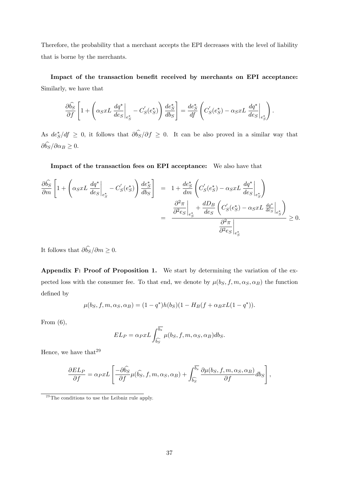Therefore, the probability that a merchant accepts the EPI decreases with the level of liability that is borne by the merchants.

Impact of the transaction benefit received by merchants on EPI acceptance: Similarly, we have that

$$
\frac{\partial \widehat{b_S}}{\partial f} \left[ 1 + \left( \alpha_S x L \frac{dq^*}{de_S} \Big|_{e_S^*} - C'_S(e_S^*) \right) \frac{de_S^*}{db_S} \right] = \frac{de_S^*}{df} \left( C'_S(e_S^*) - \alpha_S x L \frac{dq^*}{de_S} \Big|_{e_S^*} \right).
$$

As  $de^*_{S}/df \geq 0$ , it follows that  $\partial b_{S}/\partial f \geq 0$ . It can be also proved in a similar way that  $\partial b_S/\partial \alpha_B \geq 0.$ 

Impact of the transaction fees on EPI acceptance: We also have that

$$
\frac{\partial \widehat{b_S}}{\partial m} \left[ 1 + \left( \alpha_S x L \left. \frac{dq^*}{des} \right|_{e_S^*} - C_S'(e_S^*) \right) \frac{de_S^*}{db_S} \right] = 1 + \frac{de_S^*}{dm} \left( C_S'(e_S^*) - \alpha_S x L \left. \frac{dq^*}{des} \right|_{e_S^*} \right)
$$

$$
= \frac{\frac{\partial^2 \pi}{\partial^2 e_S} \left|_{e_S^*} + \frac{d_{\text{D}_B}}{des} \left( C_S'(e_S^*) - \alpha_S x L \left. \frac{dq^*}{des} \right|_{e_S^*} \right)}{\frac{\partial^2 \pi}{\partial^2 e_S} \left|_{e_S^*} \right|_{e_S^*}} \ge 0.
$$

It follows that  $\partial b_S/\partial m \geq 0$ .

Appendix F: Proof of Proposition 1. We start by determining the variation of the expected loss with the consumer fee. To that end, we denote by  $\mu(b_S, f, m, \alpha_S, \alpha_B)$  the function defined by

$$
\mu(b_S, f, m, \alpha_S, \alpha_B) = (1 - q^*)h(b_S)(1 - H_B(f + \alpha_B xL(1 - q^*)).
$$

From  $(6)$ ,

$$
EL_P = \alpha_P x L \int_{\widehat{b_S}}^{\overline{b_s}} \mu(b_S, f, m, \alpha_S, \alpha_B) db_S.
$$

Hence, we have that  $29$ 

$$
\frac{\partial EL_P}{\partial f} = \alpha_P x L \left[ \frac{-\partial \widehat{b_S}}{\partial f} \mu(\widehat{b_S}, f, m, \alpha_S, \alpha_B) + \int_{\widehat{b_S}}^{\overline{b_s}} \frac{\partial \mu(b_S, f, m, \alpha_S, \alpha_B)}{\partial f} db_S \right],
$$

 $^{29}$ The conditions to use the Leibniz rule apply.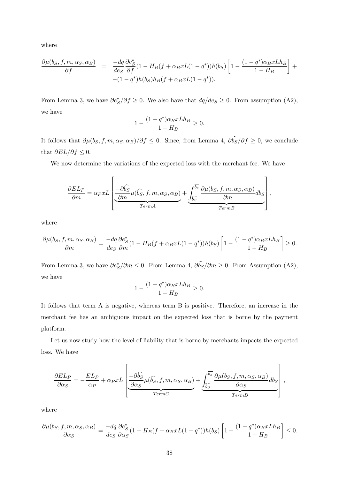where

$$
\frac{\partial \mu(b_S, f, m, \alpha_S, \alpha_B)}{\partial f} = \frac{-dq}{de_S} \frac{\partial e_S^*}{\partial f} (1 - H_B(f + \alpha_B x L(1 - q^*))h(b_S) \left[1 - \frac{(1 - q^*)\alpha_B x L h_B}{1 - H_B}\right] + (- (1 - q^*)h(b_S)h_B(f + \alpha_B x L(1 - q^*)).
$$

From Lemma 3, we have  $\partial e^*_S / \partial f \ge 0$ . We also have that  $dq/de_S \ge 0$ . From assumption (A2), we have

$$
1 - \frac{(1 - q^*)\alpha_B x L h_B}{1 - H_B} \ge 0.
$$

It follows that  $\partial \mu(b_S, f, m, \alpha_S, \alpha_B)/\partial f \leq 0$ . Since, from Lemma 4,  $\partial b_S/\partial f \geq 0$ , we conclude that  $\partial EL/\partial f \leq 0$ .

We now determine the variations of the expected loss with the merchant fee. We have

$$
\frac{\partial EL_P}{\partial m} = \alpha_P xL \left[ \underbrace{-\partial \hat{b_S}}_{TermA} \mu(\hat{b_S}, f, m, \alpha_S, \alpha_B) + \underbrace{\int_{\hat{b_S}}^{\overline{b_s}} \frac{\partial \mu(b_S, f, m, \alpha_S, \alpha_B)}{\partial m} db_S}_{TermB} \right],
$$

where

$$
\frac{\partial \mu(b_S, f, m, \alpha_S, \alpha_B)}{\partial m} = \frac{-dq}{deg} \frac{\partial e_S^*}{\partial m} (1 - H_B(f + \alpha_B x L(1 - q^*)) h(b_S) \left[ 1 - \frac{(1 - q^*) \alpha_B x L h_B}{1 - H_B} \right] \ge 0.
$$

From Lemma 3, we have  $\partial e^*_{S}/\partial m \leq 0$ . From Lemma 4,  $\partial b_{S}/\partial m \geq 0$ . From Assumption (A2), we have

$$
1 - \frac{(1 - q^*)\alpha_B x L h_B}{1 - H_B} \ge 0.
$$

It follows that term A is negative, whereas term B is positive. Therefore, an increase in the merchant fee has an ambiguous impact on the expected loss that is borne by the payment platform.

Let us now study how the level of liability that is borne by merchants impacts the expected loss. We have

$$
\frac{\partial EL_P}{\partial \alpha_S} = -\frac{EL_P}{\alpha_P} + \alpha_P xL \left[ \underbrace{\frac{-\partial \widehat{b_S}}{\partial \alpha_S} \mu(\widehat{b_S}, f, m, \alpha_S, \alpha_B)}_{TermC} + \underbrace{\int_{\widehat{b_S}}^{\overline{b_S}} \frac{\partial \mu(b_S, f, m, \alpha_S, \alpha_B)}{\partial \alpha_S} db_S}_{TermD} \right],
$$

where

$$
\frac{\partial \mu(b_S, f, m, \alpha_S, \alpha_B)}{\partial \alpha_S} = \frac{-dq}{de_S} \frac{\partial e_S^*}{\partial \alpha_S} (1 - H_B(f + \alpha_B x L(1 - q^*)) h(b_S) \left[ 1 - \frac{(1 - q^*) \alpha_B x L h_B}{1 - H_B} \right] \le 0.
$$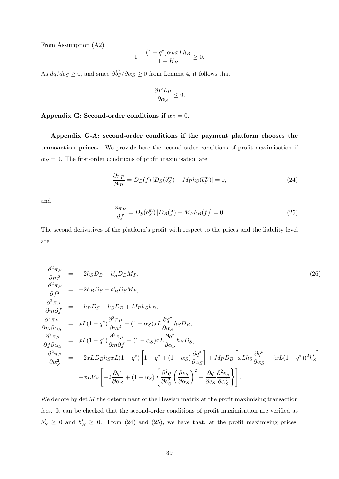From Assumption (A2),

$$
1 - \frac{(1 - q^*)\alpha_B x L h_B}{1 - H_B} \ge 0.
$$

As  $dq/de_S \geq 0$ , and since  $\partial b_S/\partial \alpha_S \geq 0$  from Lemma 4, it follows that

$$
\frac{\partial EL_P}{\partial \alpha_S} \le 0.
$$

## Appendix G: Second-order conditions if  $\alpha_B = 0$ .

Appendix G-A: second-order conditions if the payment platform chooses the transaction prices. We provide here the second-order conditions of profit maximisation if  $\alpha_B = 0$ . The first-order conditions of profit maximisation are

$$
\frac{\partial \pi_P}{\partial m} = D_B(f) \left[ D_S(b_S^m) - M_P h_S(b_S^m) \right] = 0,\tag{24}
$$

and

$$
\frac{\partial \pi_P}{\partial f} = D_S(b_S^m) \left[ D_B(f) - M_P h_B(f) \right] = 0. \tag{25}
$$

The second derivatives of the platform's profit with respect to the prices and the liability level are

$$
\frac{\partial^2 \pi_P}{\partial m^2} = -2h_S D_B - h'_S D_B M_P,
$$
\n
$$
\frac{\partial^2 \pi_P}{\partial f^2} = -2h_B D_S - h'_B D_S M_P,
$$
\n
$$
\frac{\partial^2 \pi_P}{\partial m \partial f} = -h_B D_S - h_S D_B + M_P h_S h_B,
$$
\n
$$
\frac{\partial^2 \pi_P}{\partial m \partial \alpha_S} = xL(1 - q^*) \frac{\partial^2 \pi_P}{\partial m^2} - (1 - \alpha_S) xL \frac{\partial q^*}{\partial \alpha_S} h_S D_B,
$$
\n
$$
\frac{\partial^2 \pi_P}{\partial f \partial \alpha_S} = xL(1 - q^*) \frac{\partial^2 \pi_P}{\partial m \partial f} - (1 - \alpha_S) xL \frac{\partial q^*}{\partial \alpha_S} h_B D_S,
$$
\n
$$
\frac{\partial^2 \pi_P}{\partial \alpha_S^2} = -2xLD_B h_S xL(1 - q^*) \left[ 1 - q^* + (1 - \alpha_S) \frac{\partial q^*}{\partial \alpha_S} \right] + M_P D_B \left[ xL h_S \frac{\partial q^*}{\partial \alpha_S} - (xL(1 - q^*))^2 h'_S \right]
$$
\n
$$
+ xL V_P \left[ -2 \frac{\partial q^*}{\partial \alpha_S} + (1 - \alpha_S) \left\{ \frac{\partial^2 q}{\partial e_S^2} \left( \frac{\partial e_S}{\partial \alpha_S} \right)^2 + \frac{\partial q}{\partial e_S} \frac{\partial^2 e_S}{\partial \alpha_S^2} \right\} \right].
$$
\n(26)

We denote by  $\det M$  the determinant of the Hessian matrix at the profit maximising transaction fees. It can be checked that the second-order conditions of profit maximisation are verified as  $h'_S \geq 0$  and  $h'_B \geq 0$ . From (24) and (25), we have that, at the profit maximising prices,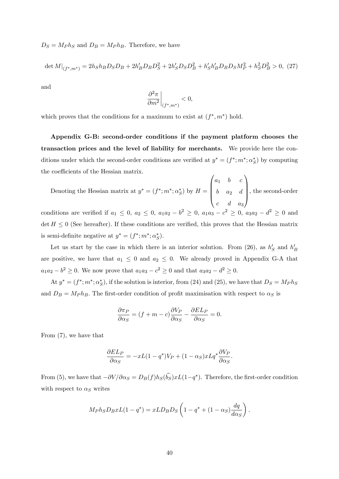$D_S = M_P h_S$  and  $D_B = M_P h_B$ . Therefore, we have

$$
\det M|_{(f^*,m^*)} = 2h_Sh_BD_SD_B + 2h'_BD_BD_S^2 + 2h'_SD_SD_B^2 + h'_Sh'_BD_BD_SM_P^2 + h_S^2D_B^2 > 0, (27)
$$

and

$$
\left. \frac{\partial^2 \pi}{\partial m^2} \right|_{(f^*, m^*)} < 0,
$$

which proves that the conditions for a maximum to exist at  $(f^*, m^*)$  hold.

Appendix G-B: second-order conditions if the payment platform chooses the transaction prices and the level of liability for merchants. We provide here the conditions under which the second-order conditions are verified at  $y^* = (f^*; m^*; \alpha_S^*)$  by computing the coefficients of the Hessian matrix.

Denoting the Hessian matrix at  $y^* = (f^*; m^*; \alpha_S^*)$  by  $H =$  $\sqrt{ }$  $\parallel$  $a_1$  b c  $b \quad a_2 \quad d$  $c \quad d \quad a_3$ 1 , the second-order conditions are verified if  $a_1 \leq 0$ ,  $a_2 \leq 0$ ,  $a_1a_2 - b^2 \geq 0$ ,  $a_1a_3 - c^2 \geq 0$ ,  $a_3a_2 - d^2 \geq 0$  and det  $H \leq 0$  (See hereafter). If these conditions are verified, this proves that the Hessian matrix is semi-definite negative at  $y^* = (f^*; m^*; \alpha_S^*).$ 

Let us start by the case in which there is an interior solution. From (26), as  $h'_S$  and  $h'_B$ are positive, we have that  $a_1 \leq 0$  and  $a_2 \leq 0$ . We already proved in Appendix G-A that  $a_1 a_2 - b^2 \ge 0$ . We now prove that  $a_1 a_3 - c^2 \ge 0$  and that  $a_3 a_2 - d^2 \ge 0$ .

At  $y^* = (f^*; m^*; \alpha_S^*)$ , if the solution is interior, from (24) and (25), we have that  $D_S = M_P h_S$ and  $D_B = M_P h_B$ . The first-order condition of profit maximisation with respect to  $\alpha_S$  is

$$
\frac{\partial \pi_P}{\partial \alpha_S} = (f + m - c) \frac{\partial V_P}{\partial \alpha_S} - \frac{\partial E L_P}{\partial \alpha_S} = 0.
$$

From (7), we have that

$$
\frac{\partial EL_P}{\partial \alpha_S} = -xL(1-q^*)V_P + (1-\alpha_S)xLq^* \frac{\partial V_P}{\partial \alpha_S}.
$$

From (5), we have that  $-\partial V/\partial \alpha_S = D_B(f)h_S(b_S)xL(1-q^*)$ . Therefore, the first-order condition with respect to  $\alpha_S$  writes

$$
M_P h_S D_B x L (1 - q^*) = x L D_B D_S \left( 1 - q^* + (1 - \alpha_S) \frac{dq}{d\alpha_S} \right).
$$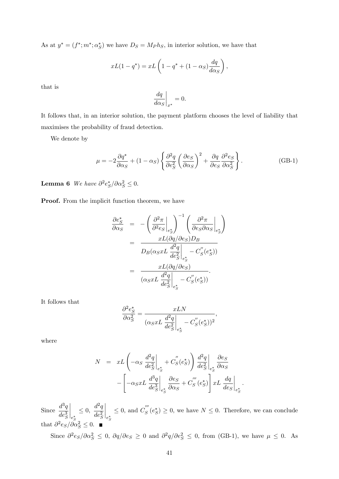As at  $y^* = (f^*; m^*; \alpha_S^*)$  we have  $D_S = M_P h_S$ , in interior solution, we have that

$$
xL(1-q^*) = xL\left(1-q^* + (1-\alpha_S)\frac{dq}{d\alpha_S}\right),
$$

that is

$$
\left. \frac{dq}{d\alpha_S} \right|_{x^*} = 0.
$$

It follows that, in an interior solution, the payment platform chooses the level of liability that maximises the probability of fraud detection.

We denote by

$$
\mu = -2\frac{\partial q^*}{\partial \alpha_S} + (1 - \alpha_S) \left\{ \frac{\partial^2 q}{\partial e_S^2} \left( \frac{\partial e_S}{\partial \alpha_S} \right)^2 + \frac{\partial q}{\partial e_S} \frac{\partial^2 e_S}{\partial \alpha_S^2} \right\}.
$$
 (GB-1)

**Lemma 6** We have  $\partial^2 e^*_S / \partial \alpha_S^2 \leq 0$ .

**Proof.** From the implicit function theorem, we have

$$
\frac{\partial e_S^*}{\partial \alpha_S} = -\left(\frac{\partial^2 \pi}{\partial^2 e_S}\Big|_{e_S^*}\right)^{-1} \left(\frac{\partial^2 \pi}{\partial e_S \partial \alpha_S}\Big|_{e_S^*}\right)
$$

$$
= \frac{xL(\partial q/\partial e_S)D_B}{D_B(\alpha_S xL \frac{d^2 q}{de_S^2}\Big|_{e_S^*} - C_S'(e_S^*))}
$$

$$
= \frac{xL(\partial q/\partial e_S)}{(\alpha_S xL \frac{d^2 q}{de_S^2}\Big|_{e_S^*} - C_S''(e_S^*))}.
$$

It follows that

$$
\frac{\partial^2 e_S^*}{\partial \alpha_S^2} = \frac{xLN}{(\alpha_S xL \frac{d^2q}{de_S^2}\bigg|_{e_S^*} - C_S'(e_S^*))^2},
$$

where

$$
N = xL \left( -\alpha_S \frac{d^2 q}{de_S^2}\Big|_{e_S^*} + C_S''(e_S^*) \right) \frac{d^2 q}{de_S^2}\Big|_{e_S^*} \frac{\partial e_S}{\partial \alpha_S} - \left[ -\alpha_S xL \frac{d^3 q}{de_S^3}\Big|_{e_S^*} \frac{\partial e_S}{\partial \alpha_S} + C_S'''(e_S^*) \right] xL \frac{dq}{de_S}\Big|_{e_S^*}.
$$

Since  $\frac{d^3q}{1^3}$  $de^3_S$  $\bigg|_{e^*_S}$  $\leq 0, \frac{d^2q}{de^2}$  $de^2_S$  $\Bigg|_{e^*_S}$  $\leq$  0, and  $C_S^{'''}$  $S(s) \geq 0$ , we have  $N \leq 0$ . Therefore, we can conclude that  $\partial^2 e_S/\partial \alpha_S^2 \leq 0$ .

Since  $\partial^2 e_S/\partial \alpha_S^2 \leq 0$ ,  $\partial q/\partial e_S \geq 0$  and  $\partial^2 q/\partial e_S^2 \leq 0$ , from (GB-1), we have  $\mu \leq 0$ . As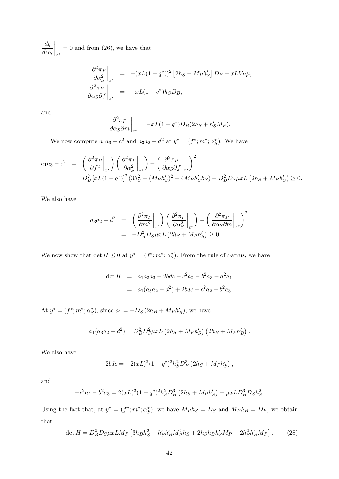$dq$  $d\alpha_S$  $\Big|_{x^*}$  $= 0$  and from  $(26)$ , we have that

$$
\frac{\partial^2 \pi_P}{\partial \alpha_S^2}\bigg|_{x^*} = -(xL(1-q^*))^2 [2h_S + M_P h'_S] D_B + xL V_P \mu,
$$
  

$$
\frac{\partial^2 \pi_P}{\partial \alpha_S \partial f}\bigg|_{x^*} = -xL(1-q^*)h_S D_B,
$$

and

$$
\left. \frac{\partial^2 \pi_P}{\partial \alpha_S \partial m} \right|_{x^*} = -xL(1 - q^*)D_B(2h_S + h'_S M_P).
$$

We now compute  $a_1a_3 - c^2$  and  $a_3a_2 - d^2$  at  $y^* = (f^*; m^*; \alpha_S^*)$ . We have

$$
a_1 a_3 - c^2 = \left(\frac{\partial^2 \pi_P}{\partial f^2}\bigg|_{x^*}\right) \left(\frac{\partial^2 \pi_P}{\partial \alpha_S^2}\bigg|_{x^*}\right) - \left(\frac{\partial^2 \pi_P}{\partial \alpha_S \partial f}\bigg|_{x^*}\right)^2
$$
  
=  $D_B^2 \left[xL(1-q^*)\right]^2 (3h_S^2 + (M_P h_S')^2 + 4M_P h_S' h_S) - D_B^2 D_S \mu x L (2h_S + M_P h_S') \ge 0.$ 

We also have

$$
a_3 a_2 - d^2 = \left(\frac{\partial^2 \pi_P}{\partial m^2}\bigg|_{x^*}\right) \left(\frac{\partial^2 \pi_P}{\partial \alpha_S^2}\bigg|_{x^*}\right) - \left(\frac{\partial^2 \pi_P}{\partial \alpha_S \partial m}\bigg|_{x^*}\right)^2
$$
  
= 
$$
-D_B^2 D_S \mu x L \left(2h_S + M_P h'_S\right) \ge 0.
$$

We now show that  $\det H \leq 0$  at  $y^* = (f^*; m^*; \alpha_S^*)$ . From the rule of Sarrus, we have

$$
\det H = a_1 a_2 a_3 + 2bdc - c^2 a_2 - b^2 a_3 - d^2 a_1
$$
  
=  $a_1 (a_3 a_2 - d^2) + 2bdc - c^2 a_2 - b^2 a_3.$ 

At  $y^* = (f^*; m^*; \alpha_S^*)$ , since  $a_1 = -D_S(2h_B + M_P h_B')$ , we have

$$
a_1(a_3a_2 - d^2) = D_B^2 D_S^2 \mu x L (2h_S + M_P h'_S) (2h_B + M_P h'_B).
$$

We also have

$$
2bdc = -2(xL)^{2}(1-q^{*})^{2}h_{S}^{2}D_{B}^{3}(2h_{S}+M_{P}h_{S}'),
$$

and

$$
-c^2a_2 - b^2a_3 = 2(xL)^2(1-q^*)^2h_S^2D_B^3(2h_S + M_Ph_S') - \mu xLD_B^3D_Sh_S^2.
$$

Using the fact that, at  $y^* = (f^*; m^*; \alpha_S^*)$ , we have  $M_P h_S = D_S$  and  $M_P h_B = D_B$ , we obtain that

$$
\det H = D_B^2 D_S \mu x L M_P \left[ 3h_B h_S^2 + h_S' h_B' M_P^2 h_S + 2h_S h_B h_S' M_P + 2h_S^2 h_B' M_P \right].
$$
 (28)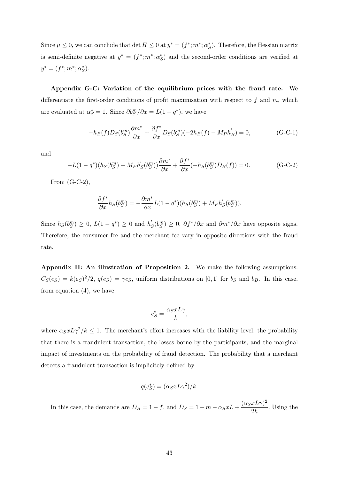Since  $\mu \leq 0$ , we can conclude that det  $H \leq 0$  at  $y^* = (f^*; m^*; \alpha_S^*)$ . Therefore, the Hessian matrix is semi-definite negative at  $y^* = (f^*; m^*; \alpha_S^*)$  and the second-order conditions are verified at  $y^* = (f^*; m^*; \alpha_S^*).$ 

Appendix G-C: Variation of the equilibrium prices with the fraud rate. We differentiate the first-order conditions of profit maximisation with respect to f and m, which are evaluated at  $\alpha_S^* = 1$ . Since  $\partial b_S^m / \partial x = L(1 - q^*)$ , we have

$$
-h_B(f)D_S(b_S^m)\frac{\partial m^*}{\partial x} + \frac{\partial f^*}{\partial x}D_S(b_S^m)(-2h_B(f) - M_Ph'_B) = 0,
$$
 (G-C-1)

and

$$
-L(1-q^*)(h_S(b_S^m) + M_Ph'_S(b_S^m))\frac{\partial m^*}{\partial x} + \frac{\partial f^*}{\partial x}(-h_S(b_S^m)D_B(f)) = 0.
$$
 (G-C-2)

From  $(G-C-2)$ ,

$$
\frac{\partial f^*}{\partial x}h_S(b_S^m) = -\frac{\partial m^*}{\partial x}L(1-q^*)(h_S(b_S^m) + M_Ph'_S(b_S^m)).
$$

Since  $h_S(b_S^m) \ge 0$ ,  $L(1-q^*) \ge 0$  and  $h'_S(b_S^m) \ge 0$ ,  $\partial f^*/\partial x$  and  $\partial m^*/\partial x$  have opposite signs. Therefore, the consumer fee and the merchant fee vary in opposite directions with the fraud rate.

Appendix H: An illustration of Proposition 2. We make the following assumptions:  $C_S(e_S) = k(e_S)^2/2$ ,  $q(e_S) = \gamma e_S$ , uniform distributions on [0,1] for  $b_S$  and  $b_B$ . In this case, from equation (4), we have

$$
e_S^* = \frac{\alpha_S x L \gamma}{k},
$$

where  $\alpha_S x L \gamma^2 / k \leq 1$ . The merchant's effort increases with the liability level, the probability that there is a fraudulent transaction, the losses borne by the participants, and the marginal impact of investments on the probability of fraud detection. The probability that a merchant detects a fraudulent transaction is implicitely defined by

$$
q(e_S^*) = (\alpha_S x L \gamma^2)/k.
$$

In this case, the demands are  $D_B = 1 - f$ , and  $D_S = 1 - m - \alpha_S x L + \frac{(\alpha_S x L \gamma)^2}{2k}$  $\frac{x}{2k}$ . Using the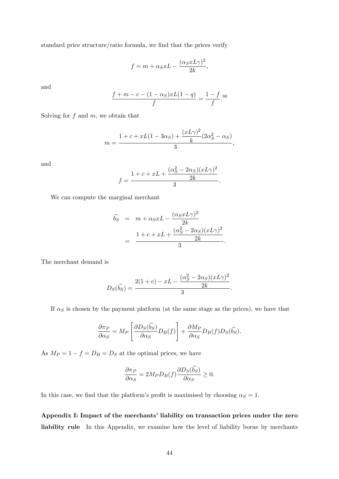standard price structure/ratio formula, we find that the prices verify

$$
f = m + \alpha_S x L - \frac{(\alpha_S x L \gamma)^2}{2k},
$$

and

$$
\frac{f + m - c - (1 - \alpha_S)xL(1 - q)}{f} = \frac{1 - f}{f}.^{30}
$$

Solving for  $f$  and  $m$ , we obtain that

$$
m = \frac{1 + c + xL(1 - 3\alpha_S) + \frac{(xL\gamma)^2}{k}(2\alpha_S^2 - \alpha_S)}{3},
$$

and

$$
f = \frac{1 + c + xL + \frac{(\alpha_S^2 - 2\alpha_S)(xL\gamma)^2}{2k}}{3}.
$$

We can compute the marginal merchant

$$
\hat{b_S} = m + \alpha_S x L - \frac{(\alpha_S x L \gamma)^2}{2k}
$$

$$
= \frac{1 + c + x L + \frac{(\alpha_S^2 - 2\alpha_S)(x L \gamma)^2}{2k}}{3}.
$$

The merchant demand is

$$
D_S(\widehat{b_S}) = \frac{2(1+c)-xL-\frac{(\alpha_S^2-2\alpha_S)(xL\gamma)^2}{2k}}{3}.
$$

If  $\alpha_S$  is chosen by the payment platform (at the same stage as the prices), we have that

$$
\frac{\partial \pi_P}{\partial \alpha_S} = M_P \left[ \frac{\partial D_S(\widehat{b_S})}{\partial \alpha_S} D_B(f) \right] + \frac{\partial M_P}{\partial \alpha_S} D_B(f) D_S(\widehat{b_S}).
$$

As  $M_P = 1 - f = D_B = D_S$  at the optimal prices, we have

$$
\frac{\partial \pi_P}{\partial \alpha_S} = 2M_P D_B(f) \frac{\partial D_S(\hat{b_S})}{\partial \alpha_S} \ge 0.
$$

In this case, we find that the platform's profit is maximised by choosing  $\alpha_S = 1$ .

Appendix I: Impact of the merchants' liability on transaction prices under the zero liability rule In this Appendix, we examine how the level of liability borne by merchants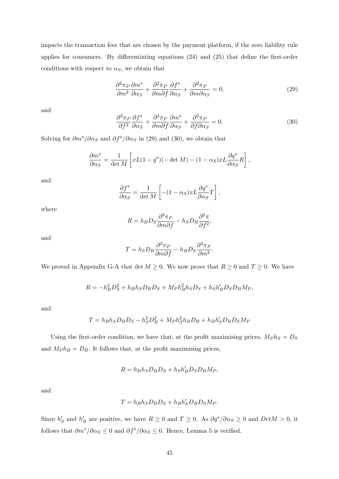impacts the transaction fees that are chosen by the payment platform, if the zero liability rule applies for consumers. By differentiating equations  $(24)$  and  $(25)$  that define the first-order conditions with respect to  $\alpha_S$ , we obtain that

$$
\frac{\partial^2 \pi_P}{\partial m^2} \frac{\partial m^*}{\partial \alpha_S} + \frac{\partial^2 \pi_P}{\partial m \partial f} \frac{\partial f^*}{\partial \alpha_S} + \frac{\partial^2 \pi_P}{\partial m \partial \alpha_S} = 0,
$$
\n(29)

and

$$
\frac{\partial^2 \pi_P}{\partial f^2} \frac{\partial f^*}{\partial \alpha_S} + \frac{\partial^2 \pi_P}{\partial m \partial f} \frac{\partial m^*}{\partial \alpha_S} + \frac{\partial^2 \pi_P}{\partial f \partial \alpha_S} = 0.
$$
 (30)

Solving for  $\partial m^*/\partial \alpha_S$  and  $\partial f^*/\partial \alpha_S$  in (29) and (30), we obtain that

$$
\frac{\partial m^*}{\partial \alpha_S} = \frac{1}{\det M} \left[ xL(1 - q^*) (-\det M) - (1 - \alpha_S) xL \frac{\partial q^*}{\partial \alpha_S} R \right],
$$

and

$$
\frac{\partial f^*}{\partial \alpha_S} = \frac{1}{\det M} \left[ -(1 - \alpha_S) x L \frac{\partial q^*}{\partial \alpha_S} T \right],
$$

where

$$
R = h_B D_S \frac{\partial^2 \pi_P}{\partial m \partial f} - h_S D_B \frac{\partial^2 \pi}{\partial f^2},
$$

and

$$
T = h_S D_B \frac{\partial^2 \pi_P}{\partial m \partial f} - h_B D_S \frac{\partial^2 \pi_P}{\partial m^2}.
$$

We proved in Appendix G-A that det  $M \geq 0$ . We now prove that  $R \geq 0$  and  $T \geq 0$ . We have

$$
R = -h_B^2 D_S^2 + h_B h_S D_B D_S + M_P h_B^2 h_S D_S + h_S h'_B D_S D_B M_P,
$$

and

$$
T = h_B h_S D_B D_S - h_S^2 D_B^2 + M_P h_S^2 h_B D_B + h_B h_S' D_B D_S M_P
$$

Using the first-order condition, we have that, at the profit maximising prices,  $M_P h_S = D_S$ and  $M_P h_B = D_B$ . It follows that, at the profit maximising prices,

$$
R = h_B h_S D_B D_S + h_S h'_B D_S D_B M_P,
$$

and

$$
T = h_B h_S D_B D_S + h_B h'_S D_B D_S M_P.
$$

Since  $h'_S$  and  $h'_B$  are positive, we have  $R \geq 0$  and  $T \geq 0$ . As  $\partial q^* / \partial \alpha_S \geq 0$  and  $Det M > 0$ , it follows that  $\partial m^*/\partial \alpha_S \leq 0$  and  $\partial f^*/\partial \alpha_S \leq 0$ . Hence, Lemma 5 is verified.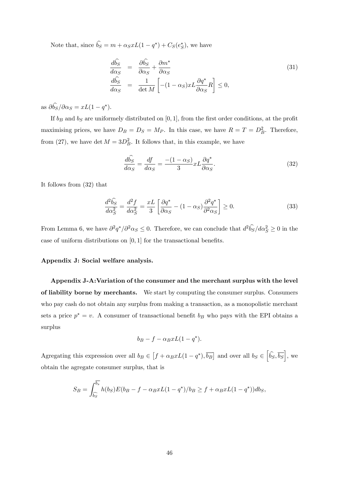Note that, since  $b_S = m + \alpha_S x L(1 - q^*) + C_S(e^*_S)$ , we have

$$
\frac{d\hat{b_S}}{d\alpha_S} = \frac{\partial \hat{b_S}}{\partial \alpha_S} + \frac{\partial m^*}{\partial \alpha_S}
$$
\n
$$
\frac{d\hat{b_S}}{d\alpha_S} = \frac{1}{\det M} \left[ -(1 - \alpha_S) x L \frac{\partial q^*}{\partial \alpha_S} R \right] \le 0,
$$
\n(31)

as  $\partial b_S/\partial \alpha_S = xL(1-q^*).$ 

If  $b_B$  and  $b_S$  are uniformely distributed on [0, 1], from the first order conditions, at the profit maximising prices, we have  $D_B = D_S = M_P$ . In this case, we have  $R = T = D_B^2$ . Therefore, from (27), we have det  $M = 3D_B^2$ . It follows that, in this example, we have

$$
\frac{d\widehat{b_S}}{d\alpha_S} = \frac{df}{d\alpha_S} = \frac{-(1 - \alpha_S)}{3} x L \frac{\partial q^*}{\partial \alpha_S}.
$$
\n(32)

It follows from (32) that

$$
\frac{d^2\hat{b}_S}{d\alpha_S^2} = \frac{d^2f}{d\alpha_S^2} = \frac{xL}{3} \left[ \frac{\partial q^*}{\partial \alpha_S} - (1 - \alpha_S) \frac{\partial^2 q^*}{\partial^2 \alpha_S} \right] \ge 0.
$$
\n(33)

From Lemma 6, we have  $\partial^2 q^*/\partial^2 \alpha_S \leq 0$ . Therefore, we can conclude that  $d^2 \hat{b_S}/d\alpha_S^2 \geq 0$  in the case of uniform distributions on  $[0, 1]$  for the transactional benefits.

#### Appendix J: Social welfare analysis.

Appendix J-A:Variation of the consumer and the merchant surplus with the level of liability borne by merchants. We start by computing the consumer surplus. Consumers who pay cash do not obtain any surplus from making a transaction, as a monopolistic merchant sets a price  $p^* = v$ . A consumer of transactional benefit  $b_B$  who pays with the EPI obtains a surplus

$$
b_B - f - \alpha_B x L (1 - q^*).
$$

Agregating this expression over all  $b_B \in [f + \alpha_B x L(1 - q^*), \overline{b_B}]$  and over all  $b_S \in [\widehat{b_S}, \overline{b_S}]$ , we obtain the agregate consumer surplus, that is

$$
S_B = \int_{\widehat{b_S}}^{\overline{b_s}} h(b_S)E(b_B - f - \alpha_B xL(1 - q^*)/b_B \ge f + \alpha_B xL(1 - q^*))db_S,
$$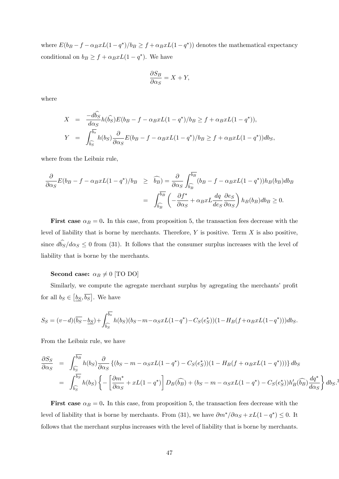where  $E(b_B - f - \alpha_B xL(1 - q^*)/b_B \ge f + \alpha_B xL(1 - q^*))$  denotes the mathematical expectancy conditional on  $b_B \ge f + \alpha_B x L(1 - q^*)$ . We have

$$
\frac{\partial S_B}{\partial \alpha_S} = X + Y,
$$

where

$$
X = \frac{-d\hat{b_S}}{d\alpha_S} h(\hat{b_S}) E(b_B - f - \alpha_B x L(1 - q^*)/b_B \ge f + \alpha_B x L(1 - q^*)),
$$
  
\n
$$
Y = \int_{\hat{b_S}}^{\overline{b_s}} h(b_S) \frac{\partial}{\partial \alpha_S} E(b_B - f - \alpha_B x L(1 - q^*)/b_B \ge f + \alpha_B x L(1 - q^*)) db_S,
$$

where from the Leibniz rule,

$$
\frac{\partial}{\partial \alpha_S} E(b_B - f - \alpha_B x L(1 - q^*)/b_B \ge \widehat{b_B}) = \frac{\partial}{\partial \alpha_S} \int_{\widehat{b_B}}^{\overline{b_B}} (b_B - f - \alpha_B x L(1 - q^*)) h_B(b_B) db_B
$$

$$
= \int_{\widehat{b_B}}^{\overline{b_B}} \left( -\frac{\partial f^*}{\partial \alpha_S} + \alpha_B x L \frac{dq}{de_S} \frac{\partial e_S}{\partial \alpha_S} \right) h_B(b_B) db_B \ge 0.
$$

First case  $\alpha_B = 0$ . In this case, from proposition 5, the transaction fees decrease with the level of liability that is borne by merchants. Therefore,  $Y$  is positive. Term  $X$  is also positive, since  $db_S/d\alpha_S \leq 0$  from (31). It follows that the consumer surplus increases with the level of liability that is borne by the merchants.

#### Second case:  $\alpha_B \neq 0$  [TO DO]

Similarly, we compute the agregate merchant surplus by agregating the merchants' profit for all  $b_S \in [\underline{b_S}, \overline{b_S}]$ . We have

$$
S_S = (v - d)(\overline{b_S} - \underline{b_S}) + \int_{\widehat{b_S}}^{\overline{b_s}} h(b_S)(b_S - m - \alpha_S x L(1 - q^*) - C_S(e_S^*)) (1 - H_B(f + \alpha_B x L(1 - q^*))) db_S.
$$

From the Leibniz rule, we have

$$
\frac{\partial S_S}{\partial \alpha_S} = \int_{\widehat{b_S}}^{\overline{b_S}} h(b_S) \frac{\partial}{\partial \alpha_S} \left\{ (b_S - m - \alpha_S x L(1 - q^*) - C_S(e_S^*)) (1 - H_B(f + \alpha_B x L(1 - q^*)) ) \right\} db_S
$$
  
\n
$$
= \int_{\widehat{b_S}}^{\overline{b_S}} h(b_S) \left\{ - \left[ \frac{\partial m^*}{\partial \alpha_S} + x L(1 - q^*) \right] D_B(\widehat{b_B}) + (b_S - m - \alpha_S x L(1 - q^*) - C_S(e_S^*)) h'_B(\widehat{b_B}) \frac{dq^*}{d \alpha_S} \right\} db_S.
$$

**First case**  $\alpha_B = 0$ . In this case, from proposition 5, the transaction fees decrease with the level of liability that is borne by merchants. From (31), we have  $\partial m^* / \partial \alpha_S + xL(1 - q^*) \leq 0$ . It follows that the merchant surplus increases with the level of liability that is borne by merchants.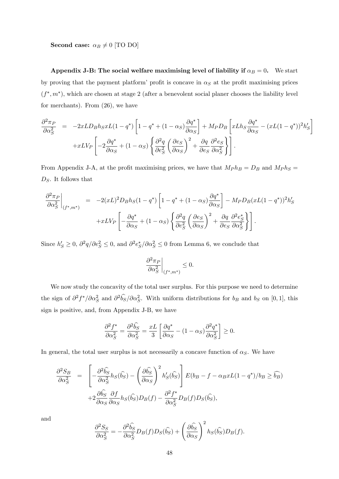Second case:  $\alpha_B \neq 0$  [TO DO]

Appendix J-B: The social welfare maximising level of liability if  $\alpha_B = 0$ . We start by proving that the payment platform' profit is concave in  $\alpha<sub>S</sub>$  at the profit maximising prices  $(f^*, m^*)$ , which are chosen at stage 2 (after a benevolent social planer chooses the liability level for merchants). From (26), we have

$$
\frac{\partial^2 \pi_P}{\partial \alpha_S^2} = -2xLD_Bh_SxL(1-q^*) \left[ 1 - q^* + (1 - \alpha_S) \frac{\partial q^*}{\partial \alpha_S} \right] + M_PD_B \left[ xLh_S \frac{\partial q^*}{\partial \alpha_S} - (xL(1-q^*))^2 h'_S \right] \n+ xLV_P \left[ -2 \frac{\partial q^*}{\partial \alpha_S} + (1 - \alpha_S) \left\{ \frac{\partial^2 q}{\partial e_S^2} \left( \frac{\partial e_S}{\partial \alpha_S} \right)^2 + \frac{\partial q}{\partial e_S} \frac{\partial^2 e_S}{\partial \alpha_S^2} \right\} \right].
$$

From Appendix J-A, at the profit maximising prices, we have that  $M_P h_B = D_B$  and  $M_P h_S =$  $D_S$ . It follows that

$$
\frac{\partial^2 \pi_P}{\partial \alpha_S^2}\bigg|_{(f^*,m^*)} = -2(xL)^2 D_B h_S (1-q^*) \left[1-q^* + (1-\alpha_S) \frac{\partial q^*}{\partial \alpha_S}\right] - M_P D_B (xL(1-q^*))^2 h'_S \n+ xL V_P \left[-\frac{\partial q^*}{\partial \alpha_S} + (1-\alpha_S) \left\{\frac{\partial^2 q}{\partial e_S^2} \left(\frac{\partial e_S}{\partial \alpha_S}\right)^2 + \frac{\partial q}{\partial e_S} \frac{\partial^2 e_S^*}{\partial \alpha_S^2}\right\}\right].
$$

Since  $h'_S \geq 0$ ,  $\partial^2 q / \partial e_S^2 \leq 0$ , and  $\partial^2 e_S^* / \partial \alpha_S^2 \leq 0$  from Lemma 6, we conclude that

$$
\left.\frac{\partial^2 \pi_P}{\partial \alpha_S^2}\right|_{(f^*,m^*)} \leq 0.
$$

We now study the concavity of the total user surplus. For this purpose we need to determine the sign of  $\partial^2 f^*/\partial \alpha_S^2$  and  $\partial^2 \hat{b_S}/\partial \alpha_S^2$ . With uniform distributions for  $b_B$  and  $b_S$  on [0, 1], this sign is positive, and, from Appendix J-B, we have

$$
\frac{\partial^2 f^*}{\partial \alpha_S^2} = \frac{\partial^2 \widehat{b_S}}{\partial \alpha_S^2} = \frac{xL}{3} \left[ \frac{\partial q^*}{\partial \alpha_S} - (1 - \alpha_S) \frac{\partial^2 q^*}{\partial \alpha_S^2} \right] \ge 0.
$$

In general, the total user surplus is not necessarily a concave function of  $\alpha_S$ . We have

$$
\frac{\partial^2 S_B}{\partial \alpha_S^2} = \left[ -\frac{\partial^2 \hat{b_S}}{\partial \alpha_S^2} h_S(\hat{b_S}) - \left( \frac{\partial \hat{b_S}}{\partial \alpha_S} \right)^2 h'_S(\hat{b_S}) \right] E(b_B - f - \alpha_B x L(1 - q^*)/b_B \ge \widehat{b_B})
$$

$$
+ 2 \frac{\partial \hat{b_S}}{\partial \alpha_S} \frac{\partial f}{\partial \alpha_S} h_S(\hat{b_S}) D_B(f) - \frac{\partial^2 f^*}{\partial \alpha_S^2} D_B(f) D_S(\hat{b_S}),
$$

and

$$
\frac{\partial^2 S_S}{\partial \alpha_S^2} = -\frac{\partial^2 \widehat{b_S}}{\partial \alpha_S^2} D_B(f) D_S(\widehat{b_S}) + \left(\frac{\partial \widehat{b_S}}{\partial \alpha_S}\right)^2 h_S(\widehat{b_S}) D_B(f).
$$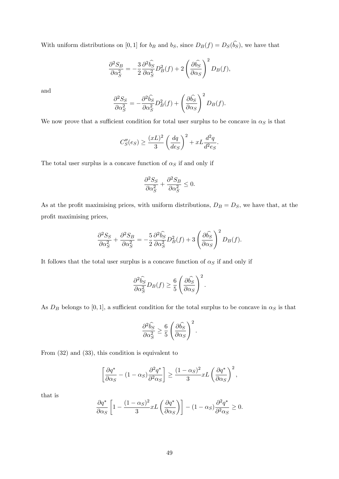With uniform distributions on [0, 1] for  $b_B$  and  $b_S$ , since  $D_B(f) = D_S(b_S)$ , we have that

$$
\frac{\partial^2 S_B}{\partial \alpha_S^2} = -\frac{3}{2} \frac{\partial^2 \hat{b_S}}{\partial \alpha_S^2} D_B^2(f) + 2 \left( \frac{\partial \hat{b_S}}{\partial \alpha_S} \right)^2 D_B(f),
$$

and

$$
\frac{\partial^2 S_S}{\partial \alpha_S^2} = -\frac{\partial^2 \widehat{b_S}}{\partial \alpha_S^2} D_B^2(f) + \left(\frac{\partial \widehat{b_S}}{\partial \alpha_S}\right)^2 D_B(f).
$$

We now prove that a sufficient condition for total user surplus to be concave in  $\alpha_S$  is that

$$
C''_S(e_S) \ge \frac{(xL)^2}{3} \left(\frac{dq}{de_S}\right)^2 + xL\frac{d^2q}{d^2e_S}.
$$

The total user surplus is a concave function of  $\alpha_S$  if and only if

$$
\frac{\partial^2 S_S}{\partial \alpha_S^2} + \frac{\partial^2 S_B}{\partial \alpha_S^2} \le 0.
$$

As at the profit maximising prices, with uniform distributions,  $D_B = D_S$ , we have that, at the profit maximising prices,

$$
\frac{\partial^2 S_S}{\partial \alpha_S^2} + \frac{\partial^2 S_B}{\partial \alpha_S^2} = -\frac{5}{2} \frac{\partial^2 \widehat{b_S}}{\partial \alpha_S^2} D_B^2(f) + 3 \left( \frac{\partial \widehat{b_S}}{\partial \alpha_S} \right)^2 D_B(f).
$$

It follows that the total user surplus is a concave function of  $\alpha_S$  if and only if

$$
\frac{\partial^2 \widehat{b_S}}{\partial \alpha_S^2} D_B(f) \ge \frac{6}{5} \left( \frac{\partial \widehat{b_S}}{\partial \alpha_S} \right)^2.
$$

As  $D_B$  belongs to [0,1], a sufficient condition for the total surplus to be concave in  $\alpha_S$  is that

$$
\frac{\partial^2 \widehat{b_S}}{\partial \alpha_S^2} \ge \frac{6}{5} \left( \frac{\partial \widehat{b_S}}{\partial \alpha_S} \right)^2.
$$

From (32) and (33), this condition is equivalent to

$$
\left[\frac{\partial q^*}{\partial \alpha_S} - (1 - \alpha_S) \frac{\partial^2 q^*}{\partial^2 \alpha_S}\right] \ge \frac{(1 - \alpha_S)^2}{3} xL\left(\frac{\partial q^*}{\partial \alpha_S}\right)^2,
$$

that is

$$
\frac{\partial q^*}{\partial \alpha_S} \left[ 1 - \frac{(1 - \alpha_S)^2}{3} x L \left( \frac{\partial q^*}{\partial \alpha_S} \right) \right] - (1 - \alpha_S) \frac{\partial^2 q^*}{\partial^2 \alpha_S} \ge 0.
$$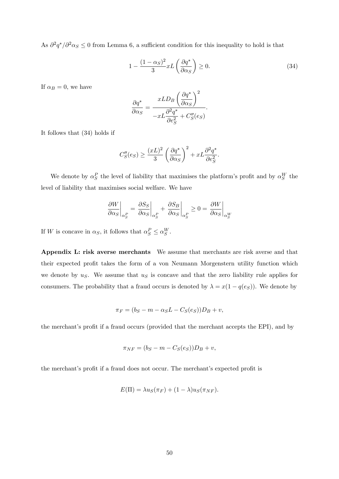As  $\partial^2 q^*/\partial^2 \alpha_S \leq 0$  from Lemma 6, a sufficient condition for this inequality to hold is that

$$
1 - \frac{(1 - \alpha_S)^2}{3} xL\left(\frac{\partial q^*}{\partial \alpha_S}\right) \ge 0.
$$
\n(34)

If  $\alpha_B = 0$ , we have

$$
\frac{\partial q^*}{\partial \alpha_S} = \frac{xLD_B \left(\frac{\partial q^*}{\partial \alpha_S}\right)^2}{-xL\frac{\partial^2 q^*}{\partial e_S^2} + C_S''(e_S)}.
$$

It follows that (34) holds if

$$
C''_S(e_S) \ge \frac{(xL)^2}{3} \left(\frac{\partial q^*}{\partial \alpha_S}\right)^2 + xL \frac{\partial^2 q^*}{\partial e_S^2}.
$$

We denote by  $\alpha_S^P$  the level of liability that maximises the platform's profit and by  $\alpha_S^W$  the level of liability that maximises social welfare. We have

$$
\left. \frac{\partial W}{\partial \alpha_S} \right|_{\alpha_S^P} = \left. \frac{\partial S_S}{\partial \alpha_S} \right|_{\alpha_S^P} + \left. \frac{\partial S_B}{\partial \alpha_S} \right|_{\alpha_S^P} \ge 0 = \left. \frac{\partial W}{\partial \alpha_S} \right|_{\alpha_S^W}
$$

If W is concave in  $\alpha_S$ , it follows that  $\alpha_S^P \leq \alpha_S^W$ .

Appendix L: risk averse merchants We assume that merchants are risk averse and that their expected profit takes the form of a von Neumann Morgenstern utility function which we denote by  $u<sub>S</sub>$ . We assume that  $u<sub>S</sub>$  is concave and that the zero liability rule applies for consumers. The probability that a fraud occurs is denoted by  $\lambda = x(1 - q(e_S))$ . We denote by

$$
\pi_F = (b_S - m - \alpha_S L - C_S(e_S))D_B + v,
$$

the merchant's profit if a fraud occurs (provided that the merchant accepts the EPI), and by

$$
\pi_{NF} = (b_S - m - C_S(e_S))D_B + v,
$$

the merchant's profit if a fraud does not occur. The merchant's expected profit is

$$
E(\Pi) = \lambda u_S(\pi_F) + (1 - \lambda)u_S(\pi_{NF}).
$$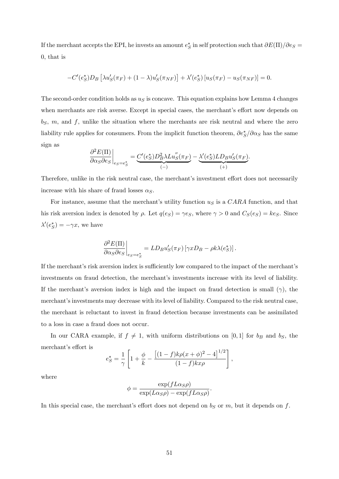If the merchant accepts the EPI, he invests an amount  $e^*_S$  in self protection such that  $\partial E(\Pi)/\partial e_S =$ 0, that is

$$
-C'(e^*_S)D_B\left[\lambda u'_S(\pi_F) + (1-\lambda)u'_S(\pi_{NF})\right] + \lambda'(e^*_S)[u_S(\pi_F) - u_S(\pi_{NF})] = 0.
$$

The second-order condition holds as  $u<sub>S</sub>$  is concave. This equation explains how Lemma 4 changes when merchants are risk averse. Except in special cases, the merchant's effort now depends on  $b_S$ ,  $m$ , and  $f$ , unlike the situation where the merchants are risk neutral and where the zero liability rule applies for consumers. From the implicit function theorem,  $\partial e^*_S/\partial \alpha_S$  has the same sign as

$$
\left.\frac{\partial^2 E(\Pi)}{\partial \alpha_S \partial e_S}\right|_{e_S=e_S^*} = \underbrace{C'(e_S^*) D_B^2 \lambda L u_S''(\pi_F)}_{(-)} - \underbrace{\lambda'(e_S^*) L D_B u_S'(\pi_F)}_{(+)}.
$$

Therefore, unlike in the risk neutral case, the merchant's investment effort does not necessarily increase with his share of fraud losses  $\alpha_S$ .

For instance, assume that the merchant's utility function  $u<sub>S</sub>$  is a CARA function, and that his risk aversion index is denoted by  $\rho$ . Let  $q(e_S) = \gamma e_S$ , where  $\gamma > 0$  and  $C_S(e_S) = ke_S$ . Since  $\lambda'(e^*_S) = -\gamma x$ , we have

$$
\left. \frac{\partial^2 E(\Pi)}{\partial \alpha_S \partial e_S} \right|_{e_S = e_S^*} = L D_B u'_S(\pi_F) \left[ \gamma x D_B - \rho k \lambda(e_S^*) \right].
$$

If the merchant's risk aversion index is sufficiently low compared to the impact of the merchant's investments on fraud detection, the merchant's investments increase with its level of liability. If the merchant's aversion index is high and the impact on fraud detection is small  $(\gamma)$ , the merchant's investments may decrease with its level of liability. Compared to the risk neutral case, the merchant is reluctant to invest in fraud detection because investments can be assimilated to a loss in case a fraud does not occur.

In our CARA example, if  $f \neq 1$ , with uniform distributions on [0,1] for  $b_B$  and  $b_S$ , the merchant's effort is

$$
e_S^* = \frac{1}{\gamma} \left[ 1 + \frac{\phi}{k} - \frac{\left[ (1-f)k\rho(x+\phi)^2 - 4 \right]^{1/2}}{(1-f)kx\rho} \right],
$$

where

$$
\phi = \frac{\exp(fL\alpha_S\rho)}{\exp(L\alpha_S\rho) - \exp(fL\alpha_S\rho)}.
$$

In this special case, the merchant's effort does not depend on  $b_S$  or m, but it depends on f.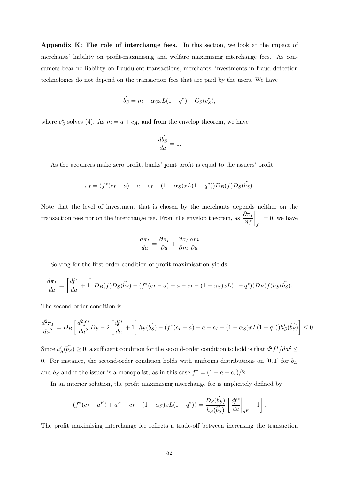Appendix K: The role of interchange fees. In this section, we look at the impact of merchants' liability on profit-maximising and welfare maximising interchange fees. As consumers bear no liability on fraudulent transactions, merchants' investments in fraud detection technologies do not depend on the transaction fees that are paid by the users. We have

$$
\widehat{b_S} = m + \alpha_S x L(1 - q^*) + C_S(e_S^*),
$$

where  $e^*_{\mathcal{S}}$  solves (4). As  $m = a + c_A$ , and from the envelop theorem, we have

$$
\frac{d\widehat{b_S}}{da} = 1.
$$

As the acquirers make zero profit, banks' joint profit is equal to the issuers' profit,

$$
\pi_I = (f^*(c_I - a) + a - c_I - (1 - \alpha_S)xL(1 - q^*))D_B(f)D_S(\hat{b}_S).
$$

Note that the level of investment that is chosen by the merchants depends neither on the transaction fees nor on the interchange fee. From the envelop theorem, as  $\frac{\partial \pi_I}{\partial f}$  $\bigg|_{f^*}$  $= 0$ , we have

$$
\frac{d\pi_I}{da} = \frac{\partial \pi_I}{\partial a} + \frac{\partial \pi_I}{\partial m} \frac{\partial m}{\partial a}
$$

Solving for the first-order condition of profit maximisation yields

$$
\frac{d\pi_I}{da} = \left[\frac{df^*}{da} + 1\right]D_B(f)D_S(\hat{b_S}) - (f^*(c_I - a) + a - c_I - (1 - \alpha_S)xL(1 - q^*))D_B(f)h_S(\hat{b_S}).
$$

The second-order condition is

$$
\frac{d^2\pi_I}{da^2} = D_B \left[ \frac{d^2f^*}{da^2} D_S - 2 \left[ \frac{df^*}{da} + 1 \right] h_S(\hat{b_S}) - (f^*(c_I - a) + a - c_I - (1 - \alpha_S)xL(1 - q^*))h'_S(\hat{b_S}) \right] \le 0.
$$

Since  $h'_S(\hat{b}_S) \geq 0$ , a sufficient condition for the second-order condition to hold is that  $d^2f^*/da^2 \leq$ 0. For instance, the second-order condition holds with uniforms distributions on  $[0,1]$  for  $b_B$ and  $b_S$  and if the issuer is a monopolist, as in this case  $f^* = (1 - a + c_I)/2$ .

In an interior solution, the profit maximising interchange fee is implicitely defined by

$$
(f^*(c_I - a^P) + a^P - c_I - (1 - \alpha_S)xL(1 - q^*)) = \frac{D_S(\widehat{b_S})}{h_S(\widehat{b_S})} \left[ \frac{df^*}{da} \Big|_{a^P} + 1 \right].
$$

The profit maximising interchange fee reflects a trade-off between increasing the transaction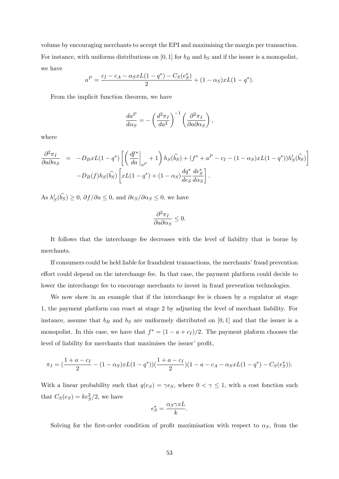volume by encouraging merchants to accept the EPI and maximising the margin per transaction. For instance, with uniforms distributions on [0, 1] for  $b_B$  and  $b_S$  and if the issuer is a monopolist, we have

$$
a^{P} = \frac{c_{I} - c_{A} - \alpha_{S} x L(1 - q^{*}) - C_{S}(e_{S}^{*})}{2} + (1 - \alpha_{S}) x L(1 - q^{*}).
$$

From the implicit function theorem, we have

$$
\frac{da^P}{d\alpha_S} = -\left(\frac{d^2 \pi_I}{da^2}\right)^{-1} \left(\frac{\partial^2 \pi_I}{\partial a \partial \alpha_S}\right),
$$

where

$$
\frac{\partial^2 \pi_I}{\partial a \partial \alpha_S} = -D_B x L (1 - q^*) \left[ \left( \frac{df^*}{da} \Big|_{a^P} + 1 \right) h_S(\hat{b_S}) + (f^* + a^P - c_I - (1 - \alpha_S) x L (1 - q^*)) h'_S(\hat{b_S}) \right] - D_B(f) h_S(\hat{b_S}) \left[ x L (1 - q^*) + (1 - \alpha_S) \frac{dq^*}{de_S} \frac{de_S^*}{d \alpha_S} \right].
$$

As  $h'_{S}(b_{S}) \geq 0$ ,  $\partial f / \partial a \leq 0$ , and  $\partial e_{S} / \partial \alpha_{S} \leq 0$ , we have

$$
\frac{\partial^2 \pi_I}{\partial a \partial \alpha_S} \le 0.
$$

It follows that the interchange fee decreases with the level of liability that is borne by merchants.

If consumers could be held liable for fraudulent transactions, the merchants' fraud prevention effort could depend on the interchange fee. In that case, the payment platform could decide to lower the interchange fee to encourage merchants to invest in fraud prevention technologies.

We now show in an example that if the interchange fee is chosen by a regulator at stage 1, the payment platform can react at stage 2 by adjusting the level of merchant liability. For instance, assume that  $b_B$  and  $b_S$  are uniformely distributed on [0,1] and that the issuer is a monopolist. In this case, we have that  $f^* = (1 - a + c_I)/2$ . The payment plaform chooses the level of liability for merchants that maximises the issuer' profit,

$$
\pi_I = \left(\frac{1+a-c_I}{2} - (1-\alpha_S)xL(1-q^*)\right)\left(\frac{1+a-c_I}{2}\right)(1-a-c_A-\alpha_S xL(1-q^*)-C_S(e_S^*)).
$$

With a linear probability such that  $q(e_S) = \gamma e_S$ , where  $0 < \gamma \leq 1$ , with a cost fonction such that  $C_S(e_S) = ke_S^2/2$ , we have

$$
e_S^* = \frac{\alpha_S \gamma xL}{k}.
$$

Solving for the first-order condition of profit maximisation with respect to  $\alpha_S$ , from the